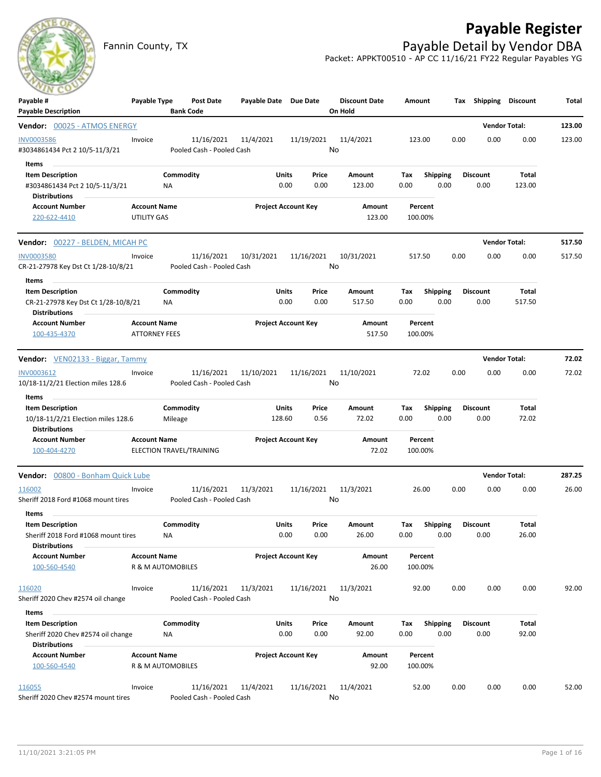# **Payable Register**

Fannin County, TX **Payable Detail by Vendor DBA** Packet: APPKT00510 - AP CC 11/16/21 FY22 Regular Payables YG

| $\sim$<br>Payable #<br><b>Payable Description</b>                                              | Payable Type                                | Post Date<br><b>Bank Code</b>           | Payable Date Due Date |                                | <b>Discount Date</b><br>On Hold | Amount             |                         | Tax Shipping Discount   |                      | <b>Total</b> |
|------------------------------------------------------------------------------------------------|---------------------------------------------|-----------------------------------------|-----------------------|--------------------------------|---------------------------------|--------------------|-------------------------|-------------------------|----------------------|--------------|
| Vendor: 00025 - ATMOS ENERGY                                                                   |                                             |                                         |                       |                                |                                 |                    |                         |                         | <b>Vendor Total:</b> | 123.00       |
| <b>INV0003586</b><br>#3034861434 Pct 2 10/5-11/3/21                                            | Invoice                                     | 11/16/2021<br>Pooled Cash - Pooled Cash | 11/4/2021             | 11/19/2021                     | 11/4/2021<br>No                 | 123.00             |                         | 0.00<br>0.00            | 0.00                 | 123.00       |
| Items<br><b>Item Description</b><br>#3034861434 Pct 2 10/5-11/3/21<br><b>Distributions</b>     |                                             | Commodity<br>ΝA                         |                       | Units<br>Price<br>0.00<br>0.00 | Amount<br>123.00                | Tax<br>0.00        | <b>Shipping</b><br>0.00 | <b>Discount</b><br>0.00 | Total<br>123.00      |              |
| <b>Account Number</b><br>220-622-4410                                                          | <b>Account Name</b><br><b>UTILITY GAS</b>   |                                         |                       | <b>Project Account Key</b>     | Amount<br>123.00                | Percent<br>100.00% |                         |                         |                      |              |
| Vendor: 00227 - BELDEN, MICAH PC                                                               |                                             |                                         |                       |                                |                                 |                    |                         |                         | <b>Vendor Total:</b> | 517.50       |
| <b>INV0003580</b><br>CR-21-27978 Key Dst Ct 1/28-10/8/21                                       | Invoice                                     | 11/16/2021<br>Pooled Cash - Pooled Cash | 10/31/2021            | 11/16/2021                     | 10/31/2021<br>No                | 517.50             |                         | 0.00<br>0.00            | 0.00                 | 517.50       |
| Items<br><b>Item Description</b>                                                               |                                             | Commodity                               |                       | Units<br>Price                 | Amount                          | Tax                | <b>Shipping</b>         | <b>Discount</b>         | Total                |              |
| CR-21-27978 Key Dst Ct 1/28-10/8/21<br>Distributions                                           |                                             | <b>NA</b>                               |                       | 0.00<br>0.00                   | 517.50                          | 0.00               | 0.00                    | 0.00                    | 517.50               |              |
| <b>Account Number</b><br>100-435-4370                                                          | <b>Account Name</b><br><b>ATTORNEY FEES</b> |                                         |                       | <b>Project Account Key</b>     | Amount<br>517.50                | Percent<br>100.00% |                         |                         |                      |              |
| Vendor: VEN02133 - Biggar, Tammy                                                               |                                             |                                         |                       |                                |                                 |                    |                         |                         | <b>Vendor Total:</b> | 72.02        |
| INV0003612<br>10/18-11/2/21 Election miles 128.6                                               | Invoice                                     | 11/16/2021<br>Pooled Cash - Pooled Cash | 11/10/2021            | 11/16/2021                     | 11/10/2021<br>No                | 72.02              |                         | 0.00<br>0.00            | 0.00                 | 72.02        |
| Items<br><b>Item Description</b><br>10/18-11/2/21 Election miles 128.6                         |                                             | Commodity<br>Mileage                    | 128.60                | Units<br>Price<br>0.56         | Amount<br>72.02                 | Tax<br>0.00        | <b>Shipping</b><br>0.00 | <b>Discount</b><br>0.00 | Total<br>72.02       |              |
| <b>Distributions</b><br><b>Account Number</b><br>100-404-4270                                  | <b>Account Name</b>                         | ELECTION TRAVEL/TRAINING                |                       | <b>Project Account Key</b>     | Amount<br>72.02                 | Percent<br>100.00% |                         |                         |                      |              |
| <b>Vendor: 00800 - Bonham Quick Lube</b>                                                       |                                             |                                         |                       |                                |                                 |                    |                         |                         | <b>Vendor Total:</b> | 287.25       |
| 116002<br>Sheriff 2018 Ford #1068 mount tires                                                  | Invoice                                     | 11/16/2021<br>Pooled Cash - Pooled Cash | 11/3/2021             | 11/16/2021                     | 11/3/2021<br>No                 | 26.00              |                         | 0.00<br>0.00            | 0.00                 | 26.00        |
| Items<br><b>Item Description</b>                                                               |                                             | Commodity                               |                       | <b>Units</b><br>Price          | Amount                          | Тах                | <b>Shipping</b>         | <b>Discount</b>         | Total                |              |
| Sheriff 2018 Ford #1068 mount tires<br><b>Distributions</b>                                    |                                             | ΝA                                      |                       | 0.00<br>0.00                   | 26.00                           | 0.00               | 0.00                    | 0.00                    | 26.00                |              |
| <b>Account Number</b><br>100-560-4540                                                          | <b>Account Name</b>                         | R & M AUTOMOBILES                       |                       | <b>Project Account Key</b>     | Amount<br>26.00                 | Percent<br>100.00% |                         |                         |                      |              |
| 116020<br>Sheriff 2020 Chev #2574 oil change                                                   | Invoice                                     | 11/16/2021<br>Pooled Cash - Pooled Cash | 11/3/2021             | 11/16/2021                     | 11/3/2021<br>No                 | 92.00              |                         | 0.00<br>0.00            | 0.00                 | 92.00        |
| Items<br><b>Item Description</b><br>Sheriff 2020 Chev #2574 oil change<br><b>Distributions</b> |                                             | Commodity<br>ΝA                         |                       | Units<br>Price<br>0.00<br>0.00 | Amount<br>92.00                 | Тах<br>0.00        | <b>Shipping</b><br>0.00 | <b>Discount</b><br>0.00 | Total<br>92.00       |              |
| <b>Account Number</b><br>100-560-4540                                                          | <b>Account Name</b>                         | R & M AUTOMOBILES                       |                       | <b>Project Account Key</b>     | Amount<br>92.00                 | Percent<br>100.00% |                         |                         |                      |              |
| 116055<br>Sheriff 2020 Chev #2574 mount tires                                                  | Invoice                                     | 11/16/2021<br>Pooled Cash - Pooled Cash | 11/4/2021             | 11/16/2021                     | 11/4/2021<br>No                 | 52.00              |                         | 0.00<br>0.00            | 0.00                 | 52.00        |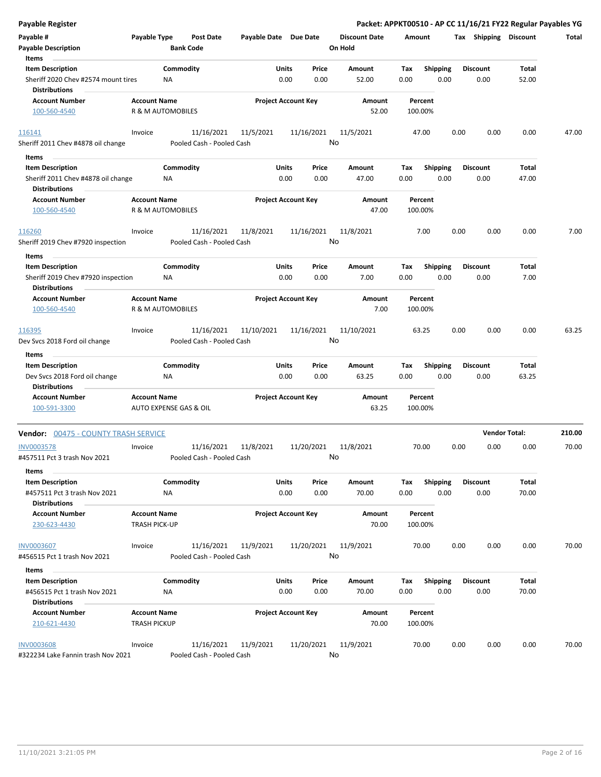| <b>Payable Register</b>                                     |                      |                        |                           |                            |              |            |                      |         |                 |      |                       | Packet: APPKT00510 - AP CC 11/16/21 FY22 Regular Payables YG |        |
|-------------------------------------------------------------|----------------------|------------------------|---------------------------|----------------------------|--------------|------------|----------------------|---------|-----------------|------|-----------------------|--------------------------------------------------------------|--------|
| Payable #                                                   | Payable Type         |                        | <b>Post Date</b>          | Payable Date Due Date      |              |            | <b>Discount Date</b> | Amount  |                 |      | Tax Shipping Discount |                                                              | Total  |
| <b>Payable Description</b>                                  |                      | <b>Bank Code</b>       |                           |                            |              |            | On Hold              |         |                 |      |                       |                                                              |        |
| Items                                                       |                      |                        |                           |                            |              |            |                      |         |                 |      |                       |                                                              |        |
| <b>Item Description</b>                                     |                      | Commodity              |                           |                            | Units        | Price      | Amount               | Tax     | <b>Shipping</b> |      | <b>Discount</b>       | Total                                                        |        |
| Sheriff 2020 Chev #2574 mount tires<br><b>Distributions</b> |                      | <b>NA</b>              |                           |                            | 0.00         | 0.00       | 52.00                | 0.00    | 0.00            |      | 0.00                  | 52.00                                                        |        |
| <b>Account Number</b>                                       | <b>Account Name</b>  |                        |                           | <b>Project Account Key</b> |              |            | Amount               |         | Percent         |      |                       |                                                              |        |
| 100-560-4540                                                |                      | R & M AUTOMOBILES      |                           |                            |              |            | 52.00                | 100.00% |                 |      |                       |                                                              |        |
|                                                             |                      |                        |                           |                            |              |            |                      |         |                 |      |                       |                                                              |        |
| 116141                                                      | Invoice              |                        | 11/16/2021                | 11/5/2021                  |              | 11/16/2021 | 11/5/2021            |         | 47.00           | 0.00 | 0.00                  | 0.00                                                         | 47.00  |
| Sheriff 2011 Chev #4878 oil change                          |                      |                        | Pooled Cash - Pooled Cash |                            |              |            | No                   |         |                 |      |                       |                                                              |        |
| Items                                                       |                      |                        |                           |                            |              |            |                      |         |                 |      |                       |                                                              |        |
| <b>Item Description</b>                                     |                      | Commodity              |                           |                            | Units        | Price      | Amount               | Tax     | <b>Shipping</b> |      | <b>Discount</b>       | Total                                                        |        |
| Sheriff 2011 Chev #4878 oil change<br><b>Distributions</b>  |                      | <b>NA</b>              |                           |                            | 0.00         | 0.00       | 47.00                | 0.00    | 0.00            |      | 0.00                  | 47.00                                                        |        |
| <b>Account Number</b>                                       | <b>Account Name</b>  |                        |                           | <b>Project Account Key</b> |              |            | Amount               |         | Percent         |      |                       |                                                              |        |
| 100-560-4540                                                |                      | R & M AUTOMOBILES      |                           |                            |              |            | 47.00                | 100.00% |                 |      |                       |                                                              |        |
| 116260                                                      | Invoice              |                        | 11/16/2021                | 11/8/2021                  |              | 11/16/2021 | 11/8/2021            |         | 7.00            | 0.00 | 0.00                  | 0.00                                                         | 7.00   |
| Sheriff 2019 Chev #7920 inspection                          |                      |                        | Pooled Cash - Pooled Cash |                            |              |            | No                   |         |                 |      |                       |                                                              |        |
|                                                             |                      |                        |                           |                            |              |            |                      |         |                 |      |                       |                                                              |        |
| Items                                                       |                      |                        |                           |                            |              |            |                      |         |                 |      |                       |                                                              |        |
| <b>Item Description</b>                                     |                      | Commodity              |                           |                            | Units        | Price      | <b>Amount</b>        | Tax     | Shipping        |      | <b>Discount</b>       | Total                                                        |        |
| Sheriff 2019 Chev #7920 inspection                          |                      | ΝA                     |                           |                            | 0.00         | 0.00       | 7.00                 | 0.00    | 0.00            |      | 0.00                  | 7.00                                                         |        |
| Distributions                                               |                      |                        |                           |                            |              |            |                      |         |                 |      |                       |                                                              |        |
| <b>Account Number</b>                                       | <b>Account Name</b>  |                        |                           | <b>Project Account Key</b> |              |            | Amount               |         | Percent         |      |                       |                                                              |        |
| 100-560-4540                                                |                      | R & M AUTOMOBILES      |                           |                            |              |            | 7.00                 | 100.00% |                 |      |                       |                                                              |        |
| 116395                                                      | Invoice              |                        | 11/16/2021                | 11/10/2021                 |              | 11/16/2021 | 11/10/2021           |         | 63.25           | 0.00 | 0.00                  | 0.00                                                         | 63.25  |
| Dev Svcs 2018 Ford oil change                               |                      |                        | Pooled Cash - Pooled Cash |                            |              |            | No                   |         |                 |      |                       |                                                              |        |
| Items                                                       |                      |                        |                           |                            |              |            |                      |         |                 |      |                       |                                                              |        |
| <b>Item Description</b>                                     |                      | Commodity              |                           |                            | <b>Units</b> | Price      | Amount               | Tax     | <b>Shipping</b> |      | <b>Discount</b>       | <b>Total</b>                                                 |        |
| Dev Svcs 2018 Ford oil change                               |                      | <b>NA</b>              |                           |                            | 0.00         | 0.00       | 63.25                | 0.00    | 0.00            |      | 0.00                  | 63.25                                                        |        |
| <b>Distributions</b>                                        |                      |                        |                           |                            |              |            |                      |         |                 |      |                       |                                                              |        |
| <b>Account Number</b>                                       | <b>Account Name</b>  |                        |                           | <b>Project Account Key</b> |              |            | Amount               |         | Percent         |      |                       |                                                              |        |
| 100-591-3300                                                |                      | AUTO EXPENSE GAS & OIL |                           |                            |              |            | 63.25                | 100.00% |                 |      |                       |                                                              |        |
|                                                             |                      |                        |                           |                            |              |            |                      |         |                 |      |                       |                                                              |        |
| Vendor: 00475 - COUNTY TRASH SERVICE                        |                      |                        |                           |                            |              |            |                      |         |                 |      |                       | <b>Vendor Total:</b>                                         | 210.00 |
| <b>INV0003578</b>                                           | Invoice              |                        | 11/16/2021                | 11/8/2021                  |              | 11/20/2021 | 11/8/2021            |         | 70.00           | 0.00 | 0.00                  | 0.00                                                         | 70.00  |
| #457511 Pct 3 trash Nov 2021                                |                      |                        | Pooled Cash - Pooled Cash |                            |              |            | No                   |         |                 |      |                       |                                                              |        |
| Items                                                       |                      |                        |                           |                            |              |            |                      |         |                 |      |                       |                                                              |        |
| <b>Item Description</b>                                     |                      | Commodity              |                           |                            | Units        | Price      | Amount               | Tax     | <b>Shipping</b> |      | <b>Discount</b>       | Total                                                        |        |
| #457511 Pct 3 trash Nov 2021                                |                      | NA                     |                           |                            | 0.00         | 0.00       | 70.00                | 0.00    | 0.00            |      | 0.00                  | 70.00                                                        |        |
| <b>Distributions</b>                                        |                      |                        |                           |                            |              |            |                      |         |                 |      |                       |                                                              |        |
| <b>Account Number</b>                                       | <b>Account Name</b>  |                        |                           | <b>Project Account Key</b> |              |            | Amount               |         | Percent         |      |                       |                                                              |        |
| 230-623-4430                                                | <b>TRASH PICK-UP</b> |                        |                           |                            |              |            | 70.00                | 100.00% |                 |      |                       |                                                              |        |
|                                                             |                      |                        |                           |                            |              |            |                      |         |                 |      |                       |                                                              |        |
| <b>INV0003607</b>                                           | Invoice              |                        | 11/16/2021                | 11/9/2021                  |              | 11/20/2021 | 11/9/2021            |         | 70.00           | 0.00 | 0.00                  | 0.00                                                         | 70.00  |
| #456515 Pct 1 trash Nov 2021                                |                      |                        | Pooled Cash - Pooled Cash |                            |              |            | No                   |         |                 |      |                       |                                                              |        |
| Items                                                       |                      |                        |                           |                            |              |            |                      |         |                 |      |                       |                                                              |        |
| <b>Item Description</b>                                     |                      | Commodity              |                           |                            | Units        | Price      | Amount               | Tax     | <b>Shipping</b> |      | <b>Discount</b>       | Total                                                        |        |
| #456515 Pct 1 trash Nov 2021                                |                      | NA                     |                           |                            | 0.00         | 0.00       | 70.00                | 0.00    | 0.00            |      | 0.00                  | 70.00                                                        |        |
| Distributions                                               |                      |                        |                           |                            |              |            |                      |         |                 |      |                       |                                                              |        |
| <b>Account Number</b>                                       | <b>Account Name</b>  |                        |                           | <b>Project Account Key</b> |              |            | Amount               |         | Percent         |      |                       |                                                              |        |
| 210-621-4430                                                | <b>TRASH PICKUP</b>  |                        |                           |                            |              |            | 70.00                | 100.00% |                 |      |                       |                                                              |        |
|                                                             |                      |                        |                           |                            |              |            |                      |         |                 |      |                       |                                                              |        |
| <b>INV0003608</b>                                           | Invoice              |                        | 11/16/2021                | 11/9/2021                  |              | 11/20/2021 | 11/9/2021            |         | 70.00           | 0.00 | 0.00                  | 0.00                                                         | 70.00  |
| #322234 Lake Fannin trash Nov 2021                          |                      |                        | Pooled Cash - Pooled Cash |                            |              |            | No                   |         |                 |      |                       |                                                              |        |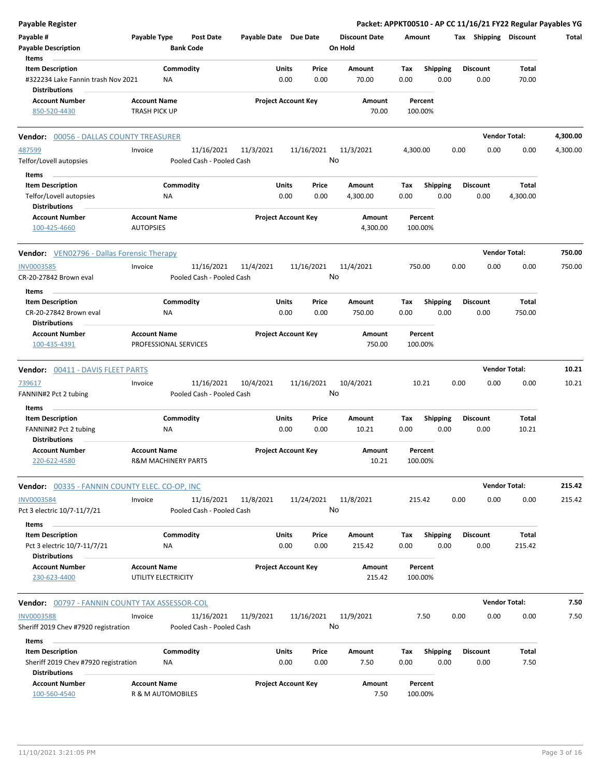| <b>Payable Register</b>                                    |                                         |           |                           |                       |                            |            |                      |          |                    |      |                       | Packet: APPKT00510 - AP CC 11/16/21 FY22 Regular Payables YG |          |
|------------------------------------------------------------|-----------------------------------------|-----------|---------------------------|-----------------------|----------------------------|------------|----------------------|----------|--------------------|------|-----------------------|--------------------------------------------------------------|----------|
| Payable #                                                  | Payable Type                            |           | <b>Post Date</b>          | Payable Date Due Date |                            |            | <b>Discount Date</b> | Amount   |                    |      | Tax Shipping Discount |                                                              | Total    |
| <b>Payable Description</b>                                 |                                         |           | <b>Bank Code</b>          |                       |                            |            | On Hold              |          |                    |      |                       |                                                              |          |
| Items                                                      |                                         |           |                           |                       |                            |            |                      |          |                    |      |                       |                                                              |          |
| <b>Item Description</b>                                    |                                         | Commodity |                           |                       | Units                      | Price      | Amount               | Tax      | <b>Shipping</b>    |      | <b>Discount</b>       | Total                                                        |          |
| #322234 Lake Fannin trash Nov 2021<br><b>Distributions</b> |                                         | ΝA        |                           |                       | 0.00                       | 0.00       | 70.00                | 0.00     | 0.00               |      | 0.00                  | 70.00                                                        |          |
| <b>Account Number</b>                                      | <b>Account Name</b>                     |           |                           |                       | <b>Project Account Key</b> |            | Amount               |          | Percent            |      |                       |                                                              |          |
| 850-520-4430                                               | <b>TRASH PICK UP</b>                    |           |                           |                       |                            |            | 70.00                |          | 100.00%            |      |                       |                                                              |          |
| <b>Vendor: 00056 - DALLAS COUNTY TREASURER</b>             |                                         |           |                           |                       |                            |            |                      |          |                    |      |                       | <b>Vendor Total:</b>                                         | 4,300.00 |
| 487599                                                     | Invoice                                 |           | 11/16/2021                | 11/3/2021             |                            | 11/16/2021 | 11/3/2021            | 4,300.00 |                    | 0.00 | 0.00                  | 0.00                                                         | 4,300.00 |
| Telfor/Lovell autopsies                                    |                                         |           | Pooled Cash - Pooled Cash |                       |                            |            | No                   |          |                    |      |                       |                                                              |          |
| Items                                                      |                                         |           |                           |                       |                            |            |                      |          |                    |      |                       |                                                              |          |
| <b>Item Description</b>                                    |                                         | Commodity |                           |                       | Units                      | Price      | Amount               | Tax      | <b>Shipping</b>    |      | <b>Discount</b>       | Total                                                        |          |
| Telfor/Lovell autopsies<br><b>Distributions</b>            |                                         | ΝA        |                           |                       | 0.00                       | 0.00       | 4,300.00             | 0.00     | 0.00               |      | 0.00                  | 4,300.00                                                     |          |
| <b>Account Number</b><br>100-425-4660                      | <b>Account Name</b><br><b>AUTOPSIES</b> |           |                           |                       | <b>Project Account Key</b> |            | Amount<br>4,300.00   |          | Percent<br>100.00% |      |                       |                                                              |          |
| <b>Vendor:</b> VEN02796 - Dallas Forensic Therapy          |                                         |           |                           |                       |                            |            |                      |          |                    |      |                       | <b>Vendor Total:</b>                                         | 750.00   |
| <b>INV0003585</b>                                          | Invoice                                 |           | 11/16/2021                | 11/4/2021             |                            | 11/16/2021 | 11/4/2021            |          | 750.00             | 0.00 | 0.00                  | 0.00                                                         | 750.00   |
| CR-20-27842 Brown eval                                     |                                         |           | Pooled Cash - Pooled Cash |                       |                            |            | No                   |          |                    |      |                       |                                                              |          |
| Items                                                      |                                         |           |                           |                       |                            |            |                      |          |                    |      |                       |                                                              |          |
| <b>Item Description</b>                                    |                                         | Commodity |                           |                       | Units                      | Price      | Amount               | Tax      | <b>Shipping</b>    |      | <b>Discount</b>       | Total                                                        |          |
| CR-20-27842 Brown eval<br><b>Distributions</b>             |                                         | ΝA        |                           |                       | 0.00                       | 0.00       | 750.00               | 0.00     | 0.00               |      | 0.00                  | 750.00                                                       |          |
| <b>Account Number</b>                                      | <b>Account Name</b>                     |           |                           |                       | <b>Project Account Key</b> |            | Amount               |          | Percent            |      |                       |                                                              |          |
| 100-435-4391                                               | PROFESSIONAL SERVICES                   |           |                           |                       |                            |            | 750.00               |          | 100.00%            |      |                       |                                                              |          |
| <b>Vendor: 00411 - DAVIS FLEET PARTS</b>                   |                                         |           |                           |                       |                            |            |                      |          |                    |      |                       | <b>Vendor Total:</b>                                         | 10.21    |
| 739617                                                     | Invoice                                 |           | 11/16/2021                | 10/4/2021             |                            | 11/16/2021 | 10/4/2021            |          | 10.21              | 0.00 | 0.00                  | 0.00                                                         | 10.21    |
| FANNIN#2 Pct 2 tubing                                      |                                         |           | Pooled Cash - Pooled Cash |                       |                            |            | No                   |          |                    |      |                       |                                                              |          |
| Items                                                      |                                         |           |                           |                       |                            |            |                      |          |                    |      |                       |                                                              |          |
| <b>Item Description</b>                                    |                                         | Commodity |                           |                       | Units                      | Price      | Amount               | Tax      | <b>Shipping</b>    |      | <b>Discount</b>       | Total                                                        |          |
| FANNIN#2 Pct 2 tubing<br><b>Distributions</b>              |                                         | ΝA        |                           |                       | 0.00                       | 0.00       | 10.21                | 0.00     | 0.00               |      | 0.00                  | 10.21                                                        |          |
| <b>Account Number</b>                                      | <b>Account Name</b>                     |           |                           |                       | <b>Project Account Key</b> |            | Amount               |          | Percent            |      |                       |                                                              |          |
| 220-622-4580                                               | <b>R&amp;M MACHINERY PARTS</b>          |           |                           |                       |                            |            | 10.21                |          | 100.00%            |      |                       |                                                              |          |
| <b>Vendor: 00335 - FANNIN COUNTY ELEC. CO-OP, INC.</b>     |                                         |           |                           |                       |                            |            |                      |          |                    |      |                       | <b>Vendor Total:</b>                                         | 215.42   |
| <b>INV0003584</b>                                          | Invoice                                 |           | 11/16/2021                | 11/8/2021             |                            | 11/24/2021 | 11/8/2021            |          | 215.42             | 0.00 | 0.00                  | 0.00                                                         | 215.42   |
| Pct 3 electric 10/7-11/7/21                                |                                         |           | Pooled Cash - Pooled Cash |                       |                            |            | No                   |          |                    |      |                       |                                                              |          |
| Items                                                      |                                         |           |                           |                       |                            |            |                      |          |                    |      |                       |                                                              |          |
| <b>Item Description</b>                                    |                                         | Commodity |                           |                       | Units                      | Price      | Amount               | Tax      | <b>Shipping</b>    |      | <b>Discount</b>       | Total                                                        |          |
| Pct 3 electric 10/7-11/7/21<br><b>Distributions</b>        |                                         | NA        |                           |                       | 0.00                       | 0.00       | 215.42               | 0.00     | 0.00               |      | 0.00                  | 215.42                                                       |          |
| <b>Account Number</b>                                      | <b>Account Name</b>                     |           |                           |                       | <b>Project Account Key</b> |            | Amount               |          | Percent            |      |                       |                                                              |          |
| 230-623-4400                                               | UTILITY ELECTRICITY                     |           |                           |                       |                            |            | 215.42               |          | 100.00%            |      |                       |                                                              |          |
| <b>Vendor:</b> 00797 - FANNIN COUNTY TAX ASSESSOR-COL      |                                         |           |                           |                       |                            |            |                      |          |                    |      |                       | <b>Vendor Total:</b>                                         | 7.50     |
| <b>INV0003588</b>                                          | Invoice                                 |           | 11/16/2021                | 11/9/2021             |                            | 11/16/2021 | 11/9/2021            |          | 7.50               | 0.00 | 0.00                  | 0.00                                                         | 7.50     |
| Sheriff 2019 Chev #7920 registration                       |                                         |           | Pooled Cash - Pooled Cash |                       |                            |            | No                   |          |                    |      |                       |                                                              |          |
| Items                                                      |                                         |           |                           |                       |                            |            |                      |          |                    |      |                       |                                                              |          |
| <b>Item Description</b>                                    |                                         | Commodity |                           |                       | Units                      | Price      | Amount               | Tax      | <b>Shipping</b>    |      | <b>Discount</b>       | Total                                                        |          |
| Sheriff 2019 Chev #7920 registration                       |                                         | NA        |                           |                       | 0.00                       | 0.00       | 7.50                 | 0.00     | 0.00               |      | 0.00                  | 7.50                                                         |          |
| <b>Distributions</b>                                       |                                         |           |                           |                       |                            |            |                      |          |                    |      |                       |                                                              |          |
| <b>Account Number</b>                                      | <b>Account Name</b>                     |           |                           |                       | <b>Project Account Key</b> |            | Amount               |          | Percent            |      |                       |                                                              |          |
| 100-560-4540                                               | R & M AUTOMOBILES                       |           |                           |                       |                            |            | 7.50                 |          | 100.00%            |      |                       |                                                              |          |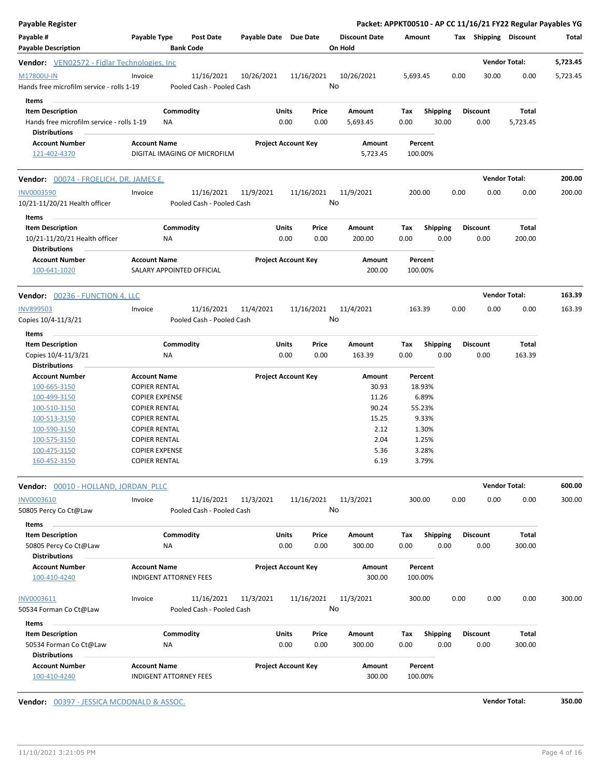| <b>Payable Register</b>                                              |                       |                               |                              |                       |                            |            |                      |          |                 |      |                       | Packet: APPKT00510 - AP CC 11/16/21 FY22 Regular Payables YG |          |
|----------------------------------------------------------------------|-----------------------|-------------------------------|------------------------------|-----------------------|----------------------------|------------|----------------------|----------|-----------------|------|-----------------------|--------------------------------------------------------------|----------|
| Payable #                                                            | Payable Type          |                               | <b>Post Date</b>             | Payable Date Due Date |                            |            | <b>Discount Date</b> | Amount   |                 |      | Tax Shipping Discount |                                                              | Total    |
| <b>Payable Description</b>                                           |                       | <b>Bank Code</b>              |                              |                       |                            |            | On Hold              |          |                 |      |                       |                                                              |          |
| <b>Vendor:</b> VEN02572 - Fidlar Technologies, Inc.                  |                       |                               |                              |                       |                            |            |                      |          |                 |      |                       | <b>Vendor Total:</b>                                         | 5,723.45 |
| M17800U-IN                                                           | Invoice               |                               | 11/16/2021                   | 10/26/2021            |                            | 11/16/2021 | 10/26/2021           | 5,693.45 |                 | 0.00 | 30.00                 | 0.00                                                         | 5,723.45 |
| Hands free microfilm service - rolls 1-19                            |                       |                               | Pooled Cash - Pooled Cash    |                       |                            |            | No                   |          |                 |      |                       |                                                              |          |
|                                                                      |                       |                               |                              |                       |                            |            |                      |          |                 |      |                       |                                                              |          |
| Items                                                                |                       |                               |                              |                       | Units                      |            |                      |          |                 |      | <b>Discount</b>       | Total                                                        |          |
| <b>Item Description</b><br>Hands free microfilm service - rolls 1-19 |                       | Commodity                     |                              |                       | 0.00                       | Price      | Amount               | Tax      | <b>Shipping</b> |      |                       |                                                              |          |
| <b>Distributions</b>                                                 |                       | ΝA                            |                              |                       |                            | 0.00       | 5,693.45             | 0.00     | 30.00           |      | 0.00                  | 5,723.45                                                     |          |
|                                                                      |                       |                               |                              |                       |                            |            |                      |          |                 |      |                       |                                                              |          |
| <b>Account Number</b><br>121-402-4370                                | <b>Account Name</b>   |                               | DIGITAL IMAGING OF MICROFILM |                       | <b>Project Account Key</b> |            | Amount<br>5,723.45   | 100.00%  | Percent         |      |                       |                                                              |          |
|                                                                      |                       |                               |                              |                       |                            |            |                      |          |                 |      |                       |                                                              |          |
| Vendor: 00074 - FROELICH, DR. JAMES E.                               |                       |                               |                              |                       |                            |            |                      |          |                 |      |                       | <b>Vendor Total:</b>                                         | 200.00   |
| <b>INV0003590</b>                                                    | Invoice               |                               | 11/16/2021                   | 11/9/2021             |                            | 11/16/2021 | 11/9/2021            | 200.00   |                 | 0.00 | 0.00                  | 0.00                                                         | 200.00   |
| 10/21-11/20/21 Health officer                                        |                       |                               | Pooled Cash - Pooled Cash    |                       |                            |            | No                   |          |                 |      |                       |                                                              |          |
| Items                                                                |                       |                               |                              |                       |                            |            |                      |          |                 |      |                       |                                                              |          |
|                                                                      |                       |                               |                              |                       |                            |            |                      |          |                 |      |                       |                                                              |          |
| <b>Item Description</b>                                              |                       | Commodity                     |                              |                       | Units                      | Price      | Amount               | Tax      | <b>Shipping</b> |      | <b>Discount</b>       | Total                                                        |          |
| 10/21-11/20/21 Health officer                                        |                       | ΝA                            |                              |                       | 0.00                       | 0.00       | 200.00               | 0.00     | 0.00            |      | 0.00                  | 200.00                                                       |          |
| <b>Distributions</b>                                                 |                       |                               |                              |                       |                            |            |                      |          |                 |      |                       |                                                              |          |
| <b>Account Number</b><br>100-641-1020                                | <b>Account Name</b>   |                               | SALARY APPOINTED OFFICIAL    |                       | <b>Project Account Key</b> |            | Amount<br>200.00     | 100.00%  | Percent         |      |                       |                                                              |          |
| Vendor: 00236 - FUNCTION 4, LLC                                      |                       |                               |                              |                       |                            |            |                      |          |                 |      |                       | <b>Vendor Total:</b>                                         | 163.39   |
|                                                                      |                       |                               |                              |                       |                            |            |                      |          |                 |      |                       |                                                              |          |
| <b>INV899503</b>                                                     | Invoice               |                               | 11/16/2021                   | 11/4/2021             |                            | 11/16/2021 | 11/4/2021<br>No      | 163.39   |                 | 0.00 | 0.00                  | 0.00                                                         | 163.39   |
| Copies 10/4-11/3/21                                                  |                       |                               | Pooled Cash - Pooled Cash    |                       |                            |            |                      |          |                 |      |                       |                                                              |          |
| Items                                                                |                       |                               |                              |                       |                            |            |                      |          |                 |      |                       |                                                              |          |
| <b>Item Description</b>                                              |                       | Commodity                     |                              |                       | Units                      | Price      | Amount               | Tax      | <b>Shipping</b> |      | <b>Discount</b>       | Total                                                        |          |
| Copies 10/4-11/3/21                                                  |                       | NA                            |                              |                       | 0.00                       | 0.00       | 163.39               | 0.00     | 0.00            |      | 0.00                  | 163.39                                                       |          |
| <b>Distributions</b>                                                 |                       |                               |                              |                       |                            |            |                      |          |                 |      |                       |                                                              |          |
| <b>Account Number</b>                                                | <b>Account Name</b>   |                               |                              |                       | <b>Project Account Key</b> |            | Amount               |          | Percent         |      |                       |                                                              |          |
| 100-665-3150                                                         | <b>COPIER RENTAL</b>  |                               |                              |                       |                            |            | 30.93                |          | 18.93%          |      |                       |                                                              |          |
| 100-499-3150                                                         | <b>COPIER EXPENSE</b> |                               |                              |                       |                            |            | 11.26                |          | 6.89%           |      |                       |                                                              |          |
| 100-510-3150                                                         | <b>COPIER RENTAL</b>  |                               |                              |                       |                            |            | 90.24                |          | 55.23%          |      |                       |                                                              |          |
| 100-513-3150                                                         | <b>COPIER RENTAL</b>  |                               |                              |                       |                            |            | 15.25                |          | 9.33%           |      |                       |                                                              |          |
| 100-590-3150                                                         | <b>COPIER RENTAL</b>  |                               |                              |                       |                            |            | 2.12                 |          | 1.30%           |      |                       |                                                              |          |
| 100-575-3150                                                         | <b>COPIER RENTAL</b>  |                               |                              |                       |                            |            | 2.04                 |          | 1.25%           |      |                       |                                                              |          |
| 100-475-3150                                                         | <b>COPIER EXPENSE</b> |                               |                              |                       |                            |            | 5.36                 |          | 3.28%           |      |                       |                                                              |          |
| 160-452-3150                                                         | <b>COPIER RENTAL</b>  |                               |                              |                       |                            |            | 6.19                 |          | 3.79%           |      |                       |                                                              |          |
| Vendor: 00010 - HOLLAND, JORDAN PLLC                                 |                       |                               |                              |                       |                            |            |                      |          |                 |      |                       | <b>Vendor Total:</b>                                         | 600.00   |
| INV0003610                                                           | Invoice               |                               | 11/16/2021                   | 11/3/2021             |                            | 11/16/2021 | 11/3/2021            | 300.00   |                 | 0.00 | 0.00                  | 0.00                                                         | 300.00   |
| 50805 Percy Co Ct@Law                                                |                       |                               | Pooled Cash - Pooled Cash    |                       |                            |            | No                   |          |                 |      |                       |                                                              |          |
|                                                                      |                       |                               |                              |                       |                            |            |                      |          |                 |      |                       |                                                              |          |
| Items                                                                |                       |                               |                              |                       |                            |            |                      |          |                 |      |                       |                                                              |          |
| <b>Item Description</b>                                              |                       | Commodity                     |                              |                       | Units                      | Price      | Amount               | Tax      | <b>Shipping</b> |      | <b>Discount</b>       | Total                                                        |          |
| 50805 Percy Co Ct@Law                                                |                       | ΝA                            |                              |                       | 0.00                       | 0.00       | 300.00               | 0.00     | 0.00            |      | 0.00                  | 300.00                                                       |          |
| <b>Distributions</b>                                                 |                       |                               |                              |                       |                            |            |                      |          |                 |      |                       |                                                              |          |
| <b>Account Number</b>                                                | <b>Account Name</b>   |                               |                              |                       | <b>Project Account Key</b> |            | Amount               |          | Percent         |      |                       |                                                              |          |
| 100-410-4240                                                         |                       | INDIGENT ATTORNEY FEES        |                              |                       |                            |            | 300.00               | 100.00%  |                 |      |                       |                                                              |          |
| INV0003611                                                           | Invoice               |                               | 11/16/2021                   | 11/3/2021             |                            | 11/16/2021 | 11/3/2021            | 300.00   |                 | 0.00 | 0.00                  | 0.00                                                         | 300.00   |
| 50534 Forman Co Ct@Law                                               |                       |                               | Pooled Cash - Pooled Cash    |                       |                            |            | No                   |          |                 |      |                       |                                                              |          |
| Items                                                                |                       |                               |                              |                       |                            |            |                      |          |                 |      |                       |                                                              |          |
| <b>Item Description</b>                                              |                       | Commodity                     |                              |                       | Units                      | Price      | Amount               | Tax      | Shipping        |      | <b>Discount</b>       | Total                                                        |          |
| 50534 Forman Co Ct@Law                                               |                       | ΝA                            |                              |                       | 0.00                       | 0.00       | 300.00               | 0.00     | 0.00            |      | 0.00                  | 300.00                                                       |          |
| <b>Distributions</b>                                                 |                       |                               |                              |                       |                            |            |                      |          |                 |      |                       |                                                              |          |
| <b>Account Number</b>                                                | <b>Account Name</b>   |                               |                              |                       | <b>Project Account Key</b> |            | Amount               |          | Percent         |      |                       |                                                              |          |
| 100-410-4240                                                         |                       | <b>INDIGENT ATTORNEY FEES</b> |                              |                       |                            |            | 300.00               | 100.00%  |                 |      |                       |                                                              |          |
|                                                                      |                       |                               |                              |                       |                            |            |                      |          |                 |      |                       |                                                              |          |

**Vendor:** 00397 - JESSICA MCDONALD & ASSOC. **Vendor Total: 350.00**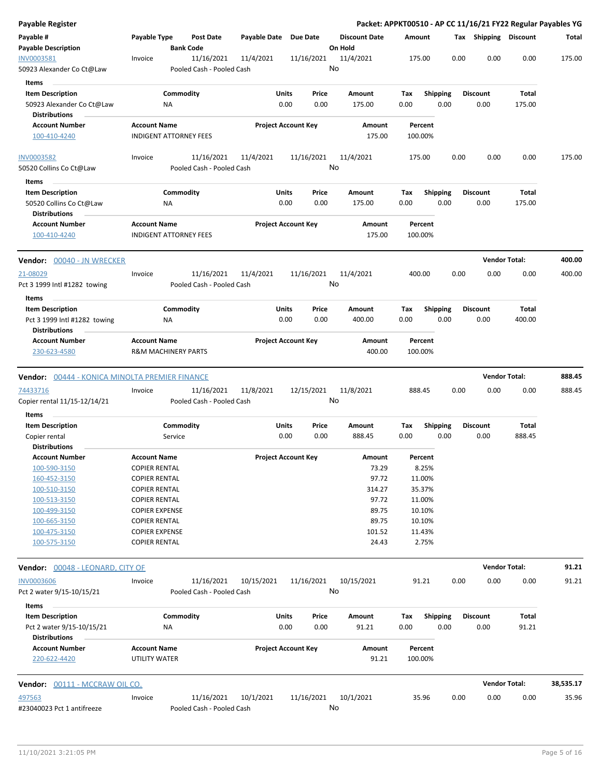| <b>Payable Register</b>                           |                                |                           |                       |                            |                      |         |                 |      |                 |                       | Packet: APPKT00510 - AP CC 11/16/21 FY22 Regular Payables YG |
|---------------------------------------------------|--------------------------------|---------------------------|-----------------------|----------------------------|----------------------|---------|-----------------|------|-----------------|-----------------------|--------------------------------------------------------------|
| Payable #                                         | Payable Type                   | Post Date                 | Payable Date Due Date |                            | <b>Discount Date</b> | Amount  |                 |      |                 | Tax Shipping Discount | Total                                                        |
| <b>Payable Description</b>                        | <b>Bank Code</b>               |                           |                       |                            | On Hold              |         |                 |      |                 |                       |                                                              |
| INV0003581                                        | Invoice                        | 11/16/2021                | 11/4/2021             | 11/16/2021                 | 11/4/2021            | 175.00  |                 | 0.00 | 0.00            | 0.00                  | 175.00                                                       |
| 50923 Alexander Co Ct@Law                         |                                | Pooled Cash - Pooled Cash |                       |                            | No                   |         |                 |      |                 |                       |                                                              |
| Items                                             |                                |                           |                       |                            |                      |         |                 |      |                 |                       |                                                              |
| <b>Item Description</b>                           | Commodity                      |                           |                       | Units<br>Price             | Amount               | Tax     | <b>Shipping</b> |      | <b>Discount</b> | Total                 |                                                              |
| 50923 Alexander Co Ct@Law                         | ΝA                             |                           |                       | 0.00<br>0.00               | 175.00               | 0.00    | 0.00            |      | 0.00            | 175.00                |                                                              |
| <b>Distributions</b>                              |                                |                           |                       |                            |                      |         |                 |      |                 |                       |                                                              |
| <b>Account Number</b>                             | <b>Account Name</b>            |                           |                       | <b>Project Account Key</b> | Amount               | Percent |                 |      |                 |                       |                                                              |
| 100-410-4240                                      | <b>INDIGENT ATTORNEY FEES</b>  |                           |                       |                            | 175.00               | 100.00% |                 |      |                 |                       |                                                              |
| <b>INV0003582</b>                                 | Invoice                        | 11/16/2021                | 11/4/2021             | 11/16/2021                 | 11/4/2021            | 175.00  |                 | 0.00 | 0.00            | 0.00                  | 175.00                                                       |
| 50520 Collins Co Ct@Law                           |                                | Pooled Cash - Pooled Cash |                       |                            | No                   |         |                 |      |                 |                       |                                                              |
| Items                                             |                                |                           |                       |                            |                      |         |                 |      |                 |                       |                                                              |
| <b>Item Description</b>                           | Commodity                      |                           |                       | Units<br>Price             | Amount               | Tax     | <b>Shipping</b> |      | <b>Discount</b> | Total                 |                                                              |
| 50520 Collins Co Ct@Law                           | NA                             |                           |                       | 0.00<br>0.00               | 175.00               | 0.00    | 0.00            |      | 0.00            | 175.00                |                                                              |
| <b>Distributions</b>                              |                                |                           |                       |                            |                      |         |                 |      |                 |                       |                                                              |
| <b>Account Number</b>                             | <b>Account Name</b>            |                           |                       | <b>Project Account Key</b> | Amount               | Percent |                 |      |                 |                       |                                                              |
| 100-410-4240                                      | <b>INDIGENT ATTORNEY FEES</b>  |                           |                       |                            | 175.00               | 100.00% |                 |      |                 |                       |                                                              |
| Vendor: 00040 - JN WRECKER                        |                                |                           |                       |                            |                      |         |                 |      |                 | <b>Vendor Total:</b>  | 400.00                                                       |
| 21-08029                                          | Invoice                        | 11/16/2021                | 11/4/2021             | 11/16/2021                 | 11/4/2021            | 400.00  |                 | 0.00 | 0.00            | 0.00                  | 400.00                                                       |
| Pct 3 1999 Intl #1282 towing                      |                                | Pooled Cash - Pooled Cash |                       |                            | No                   |         |                 |      |                 |                       |                                                              |
| Items                                             |                                |                           |                       |                            |                      |         |                 |      |                 |                       |                                                              |
| <b>Item Description</b>                           | Commodity                      |                           |                       | Units<br>Price             | Amount               | Tax     | <b>Shipping</b> |      | <b>Discount</b> | Total                 |                                                              |
| Pct 3 1999 Intl #1282 towing                      | NA                             |                           |                       | 0.00<br>0.00               | 400.00               | 0.00    | 0.00            |      | 0.00            | 400.00                |                                                              |
| <b>Distributions</b>                              |                                |                           |                       |                            |                      |         |                 |      |                 |                       |                                                              |
| <b>Account Number</b>                             | <b>Account Name</b>            |                           |                       | <b>Project Account Key</b> | Amount               | Percent |                 |      |                 |                       |                                                              |
| 230-623-4580                                      | <b>R&amp;M MACHINERY PARTS</b> |                           |                       |                            | 400.00               | 100.00% |                 |      |                 |                       |                                                              |
| Vendor: 00444 - KONICA MINOLTA PREMIER FINANCE    |                                |                           |                       |                            |                      |         |                 |      |                 | <b>Vendor Total:</b>  | 888.45                                                       |
| 74433716                                          | Invoice                        | 11/16/2021                | 11/8/2021             | 12/15/2021                 | 11/8/2021            | 888.45  |                 | 0.00 | 0.00            | 0.00                  | 888.45                                                       |
| Copier rental 11/15-12/14/21                      |                                | Pooled Cash - Pooled Cash |                       |                            | No                   |         |                 |      |                 |                       |                                                              |
| Items                                             |                                |                           |                       |                            |                      |         |                 |      |                 |                       |                                                              |
| <b>Item Description</b>                           | Commodity                      |                           |                       | Units<br>Price             | Amount               | Тах     | <b>Shipping</b> |      | <b>Discount</b> | Total                 |                                                              |
| Copier rental                                     | Service                        |                           |                       | 0.00<br>0.00               | 888.45               | 0.00    | 0.00            |      | 0.00            | 888.45                |                                                              |
| <b>Distributions</b>                              |                                |                           |                       |                            |                      |         |                 |      |                 |                       |                                                              |
| <b>Account Number</b>                             | <b>Account Name</b>            |                           |                       | <b>Project Account Key</b> | Amount               | Percent |                 |      |                 |                       |                                                              |
| 100-590-3150                                      | <b>COPIER RENTAL</b>           |                           |                       |                            | 73.29                | 8.25%   |                 |      |                 |                       |                                                              |
| 160-452-3150                                      | <b>COPIER RENTAL</b>           |                           |                       |                            | 97.72                | 11.00%  |                 |      |                 |                       |                                                              |
| 100-510-3150                                      | <b>COPIER RENTAL</b>           |                           |                       |                            | 314.27               | 35.37%  |                 |      |                 |                       |                                                              |
| 100-513-3150                                      | <b>COPIER RENTAL</b>           |                           |                       |                            | 97.72                | 11.00%  |                 |      |                 |                       |                                                              |
| 100-499-3150                                      | <b>COPIER EXPENSE</b>          |                           |                       |                            | 89.75                | 10.10%  |                 |      |                 |                       |                                                              |
| 100-665-3150                                      | <b>COPIER RENTAL</b>           |                           |                       |                            | 89.75                | 10.10%  |                 |      |                 |                       |                                                              |
| 100-475-3150                                      | <b>COPIER EXPENSE</b>          |                           |                       |                            | 101.52               | 11.43%  |                 |      |                 |                       |                                                              |
| 100-575-3150                                      | <b>COPIER RENTAL</b>           |                           |                       |                            | 24.43                | 2.75%   |                 |      |                 |                       |                                                              |
| Vendor: 00048 - LEONARD, CITY OF                  |                                |                           |                       |                            |                      |         |                 |      |                 | <b>Vendor Total:</b>  | 91.21                                                        |
| <b>INV0003606</b>                                 | Invoice                        | 11/16/2021                | 10/15/2021            | 11/16/2021                 | 10/15/2021           | 91.21   |                 | 0.00 | 0.00            | 0.00                  | 91.21                                                        |
| Pct 2 water 9/15-10/15/21                         |                                | Pooled Cash - Pooled Cash |                       |                            | No                   |         |                 |      |                 |                       |                                                              |
| Items                                             |                                |                           |                       |                            |                      |         |                 |      |                 |                       |                                                              |
| <b>Item Description</b>                           | Commodity                      |                           |                       | Units<br>Price             | Amount               | Tax     | Shipping        |      | <b>Discount</b> | Total                 |                                                              |
| Pct 2 water 9/15-10/15/21<br><b>Distributions</b> | NA                             |                           |                       | 0.00<br>0.00               | 91.21                | 0.00    | 0.00            |      | 0.00            | 91.21                 |                                                              |
| <b>Account Number</b>                             | <b>Account Name</b>            |                           |                       | <b>Project Account Key</b> | Amount               | Percent |                 |      |                 |                       |                                                              |
| 220-622-4420                                      | UTILITY WATER                  |                           |                       |                            | 91.21                | 100.00% |                 |      |                 |                       |                                                              |
| Vendor: 00111 - MCCRAW OIL CO.                    |                                |                           |                       |                            |                      |         |                 |      |                 | <b>Vendor Total:</b>  | 38,535.17                                                    |
| 497563                                            | Invoice                        | 11/16/2021                | 10/1/2021             | 11/16/2021                 | 10/1/2021            | 35.96   |                 | 0.00 | 0.00            | 0.00                  | 35.96                                                        |
| #23040023 Pct 1 antifreeze                        |                                | Pooled Cash - Pooled Cash |                       |                            | No                   |         |                 |      |                 |                       |                                                              |
|                                                   |                                |                           |                       |                            |                      |         |                 |      |                 |                       |                                                              |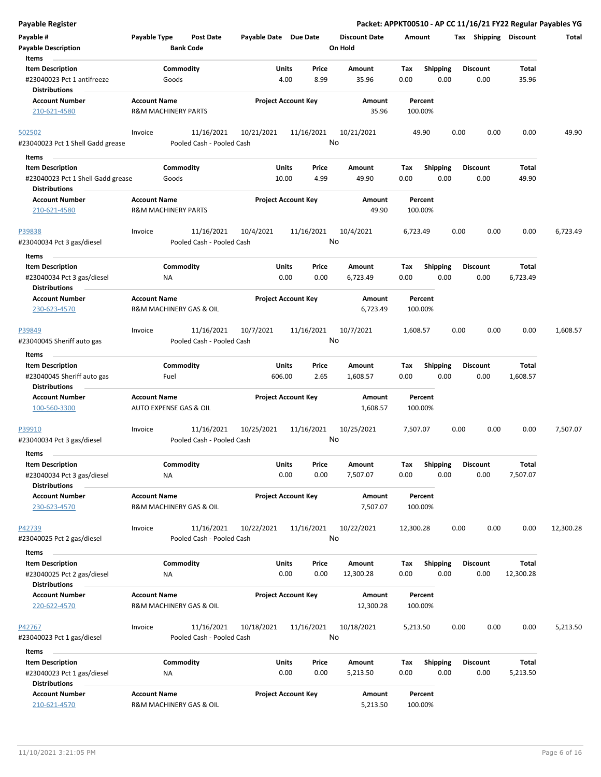| <b>Payable Register</b>                                                       |                         |                  |                                         |                            |               |               |                      |             |                 |      |      |                         |                          | Packet: APPKT00510 - AP CC 11/16/21 FY22 Regular Payables YG |
|-------------------------------------------------------------------------------|-------------------------|------------------|-----------------------------------------|----------------------------|---------------|---------------|----------------------|-------------|-----------------|------|------|-------------------------|--------------------------|--------------------------------------------------------------|
| Payable #                                                                     | Payable Type            |                  | Post Date                               | Payable Date Due Date      |               |               | <b>Discount Date</b> |             | Amount          |      |      |                         | Tax Shipping Discount    | Total                                                        |
| <b>Payable Description</b>                                                    |                         | <b>Bank Code</b> |                                         |                            |               |               | On Hold              |             |                 |      |      |                         |                          |                                                              |
| Items                                                                         |                         |                  |                                         |                            |               |               |                      |             |                 |      |      |                         |                          |                                                              |
| <b>Item Description</b>                                                       |                         | Commodity        |                                         |                            | Units         | Price         | Amount               | Tax         | <b>Shipping</b> |      |      | <b>Discount</b>         | <b>Total</b>             |                                                              |
| #23040023 Pct 1 antifreeze                                                    |                         | Goods            |                                         |                            | 4.00          | 8.99          | 35.96                | 0.00        |                 | 0.00 |      | 0.00                    | 35.96                    |                                                              |
| <b>Distributions</b>                                                          |                         |                  |                                         |                            |               |               |                      |             |                 |      |      |                         |                          |                                                              |
| <b>Account Number</b>                                                         | <b>Account Name</b>     |                  |                                         | <b>Project Account Key</b> |               |               | Amount               |             | Percent         |      |      |                         |                          |                                                              |
| 210-621-4580                                                                  | R&M MACHINERY PARTS     |                  |                                         |                            |               |               | 35.96                |             | 100.00%         |      |      |                         |                          |                                                              |
| 502502                                                                        | Invoice                 |                  | 11/16/2021                              | 10/21/2021                 |               | 11/16/2021    | 10/21/2021           |             | 49.90           |      | 0.00 | 0.00                    | 0.00                     | 49.90                                                        |
| #23040023 Pct 1 Shell Gadd grease                                             |                         |                  | Pooled Cash - Pooled Cash               |                            |               |               | No                   |             |                 |      |      |                         |                          |                                                              |
| Items                                                                         |                         |                  |                                         |                            |               |               |                      |             |                 |      |      |                         |                          |                                                              |
| <b>Item Description</b>                                                       |                         | Commodity        |                                         |                            | Units         | Price         | Amount               | Tax         | <b>Shipping</b> |      |      | <b>Discount</b>         | Total                    |                                                              |
| #23040023 Pct 1 Shell Gadd grease<br><b>Distributions</b>                     |                         | Goods            |                                         |                            | 10.00         | 4.99          | 49.90                | 0.00        |                 | 0.00 |      | 0.00                    | 49.90                    |                                                              |
| <b>Account Number</b>                                                         | <b>Account Name</b>     |                  |                                         | <b>Project Account Key</b> |               |               | Amount               |             | Percent         |      |      |                         |                          |                                                              |
| 210-621-4580                                                                  | R&M MACHINERY PARTS     |                  |                                         |                            |               |               | 49.90                |             | 100.00%         |      |      |                         |                          |                                                              |
| P39838                                                                        | Invoice                 |                  | 11/16/2021                              | 10/4/2021                  |               | 11/16/2021    | 10/4/2021            | 6,723.49    |                 |      | 0.00 | 0.00                    | 0.00                     | 6,723.49                                                     |
| #23040034 Pct 3 gas/diesel                                                    |                         |                  | Pooled Cash - Pooled Cash               |                            |               |               | No                   |             |                 |      |      |                         |                          |                                                              |
| Items                                                                         |                         |                  |                                         |                            |               |               |                      |             |                 |      |      |                         |                          |                                                              |
| <b>Item Description</b><br>#23040034 Pct 3 gas/diesel<br><b>Distributions</b> |                         | Commodity<br>ΝA  |                                         |                            | Units<br>0.00 | Price<br>0.00 | Amount<br>6,723.49   | Tax<br>0.00 | <b>Shipping</b> | 0.00 |      | <b>Discount</b><br>0.00 | <b>Total</b><br>6,723.49 |                                                              |
| <b>Account Number</b>                                                         | <b>Account Name</b>     |                  |                                         | <b>Project Account Key</b> |               |               | Amount               |             | Percent         |      |      |                         |                          |                                                              |
| 230-623-4570                                                                  | R&M MACHINERY GAS & OIL |                  |                                         |                            |               |               | 6,723.49             |             | 100.00%         |      |      |                         |                          |                                                              |
| P39849                                                                        | Invoice                 |                  | 11/16/2021                              | 10/7/2021                  |               | 11/16/2021    | 10/7/2021            | 1,608.57    |                 |      | 0.00 | 0.00                    | 0.00                     | 1,608.57                                                     |
| #23040045 Sheriff auto gas                                                    |                         |                  | Pooled Cash - Pooled Cash               |                            |               |               | No                   |             |                 |      |      |                         |                          |                                                              |
| Items                                                                         |                         |                  |                                         |                            |               |               |                      |             |                 |      |      |                         |                          |                                                              |
| <b>Item Description</b>                                                       |                         | Commodity        |                                         |                            | Units         | Price         | Amount               | Tax         | <b>Shipping</b> |      |      | <b>Discount</b>         | Total                    |                                                              |
| #23040045 Sheriff auto gas<br><b>Distributions</b>                            |                         | Fuel             |                                         |                            | 606.00        | 2.65          | 1,608.57             | 0.00        |                 | 0.00 |      | 0.00                    | 1,608.57                 |                                                              |
| <b>Account Number</b>                                                         | <b>Account Name</b>     |                  |                                         | <b>Project Account Key</b> |               |               | Amount               |             | Percent         |      |      |                         |                          |                                                              |
| 100-560-3300                                                                  | AUTO EXPENSE GAS & OIL  |                  |                                         |                            |               |               | 1,608.57             |             | 100.00%         |      |      |                         |                          |                                                              |
| P39910                                                                        | Invoice                 |                  | 11/16/2021                              | 10/25/2021                 |               | 11/16/2021    | 10/25/2021           | 7,507.07    |                 |      | 0.00 | 0.00                    | 0.00                     | 7,507.07                                                     |
| #23040034 Pct 3 gas/diesel                                                    |                         |                  | Pooled Cash - Pooled Cash               |                            |               |               | No                   |             |                 |      |      |                         |                          |                                                              |
| Items                                                                         |                         |                  |                                         |                            |               |               |                      |             |                 |      |      |                         |                          |                                                              |
| <b>Item Description</b>                                                       |                         | Commodity        |                                         |                            | Units         | Price         | Amount               |             | Shipping        |      |      | <b>Discount</b>         | Total                    |                                                              |
| #23040034 Pct 3 gas/diesel                                                    |                         | NA               |                                         |                            | 0.00          | 0.00          | 7,507.07             | Tax<br>0.00 |                 | 0.00 |      | 0.00                    | 7,507.07                 |                                                              |
| <b>Distributions</b>                                                          |                         |                  |                                         |                            |               |               |                      |             |                 |      |      |                         |                          |                                                              |
| <b>Account Number</b>                                                         | <b>Account Name</b>     |                  |                                         | <b>Project Account Key</b> |               |               | Amount               |             | Percent         |      |      |                         |                          |                                                              |
| 230-623-4570                                                                  | R&M MACHINERY GAS & OIL |                  |                                         |                            |               |               | 7,507.07             |             | 100.00%         |      |      |                         |                          |                                                              |
| P42739                                                                        | Invoice                 |                  | 11/16/2021                              | 10/22/2021                 |               | 11/16/2021    | 10/22/2021           | 12,300.28   |                 |      | 0.00 | 0.00                    | 0.00                     | 12,300.28                                                    |
| #23040025 Pct 2 gas/diesel                                                    |                         |                  | Pooled Cash - Pooled Cash               |                            |               |               | No                   |             |                 |      |      |                         |                          |                                                              |
|                                                                               |                         |                  |                                         |                            |               |               |                      |             |                 |      |      |                         |                          |                                                              |
| Items                                                                         |                         |                  |                                         |                            |               |               |                      |             |                 |      |      |                         |                          |                                                              |
| <b>Item Description</b>                                                       |                         | Commodity        |                                         |                            | Units         | Price         | Amount               | Tax         | <b>Shipping</b> |      |      | <b>Discount</b>         | Total                    |                                                              |
| #23040025 Pct 2 gas/diesel<br><b>Distributions</b>                            |                         | <b>NA</b>        |                                         |                            | 0.00          | 0.00          | 12,300.28            | 0.00        |                 | 0.00 |      | 0.00                    | 12,300.28                |                                                              |
| <b>Account Number</b>                                                         | <b>Account Name</b>     |                  |                                         | <b>Project Account Key</b> |               |               | Amount               |             | Percent         |      |      |                         |                          |                                                              |
| 220-622-4570                                                                  | R&M MACHINERY GAS & OIL |                  |                                         |                            |               |               | 12,300.28            |             | 100.00%         |      |      |                         |                          |                                                              |
| P42767<br>#23040023 Pct 1 gas/diesel                                          | Invoice                 |                  | 11/16/2021<br>Pooled Cash - Pooled Cash | 10/18/2021                 |               | 11/16/2021    | 10/18/2021<br>No     | 5,213.50    |                 |      | 0.00 | 0.00                    | 0.00                     | 5,213.50                                                     |
| Items                                                                         |                         |                  |                                         |                            |               |               |                      |             |                 |      |      |                         |                          |                                                              |
| <b>Item Description</b>                                                       |                         | Commodity        |                                         |                            | Units         | Price         | Amount               | Tax         | <b>Shipping</b> |      |      | <b>Discount</b>         | Total                    |                                                              |
| #23040023 Pct 1 gas/diesel<br><b>Distributions</b>                            |                         | NA               |                                         |                            | 0.00          | 0.00          | 5,213.50             | 0.00        |                 | 0.00 |      | 0.00                    | 5,213.50                 |                                                              |
| <b>Account Number</b>                                                         | <b>Account Name</b>     |                  |                                         | <b>Project Account Key</b> |               |               | Amount               |             | Percent         |      |      |                         |                          |                                                              |
| 210-621-4570                                                                  | R&M MACHINERY GAS & OIL |                  |                                         |                            |               |               | 5,213.50             |             | 100.00%         |      |      |                         |                          |                                                              |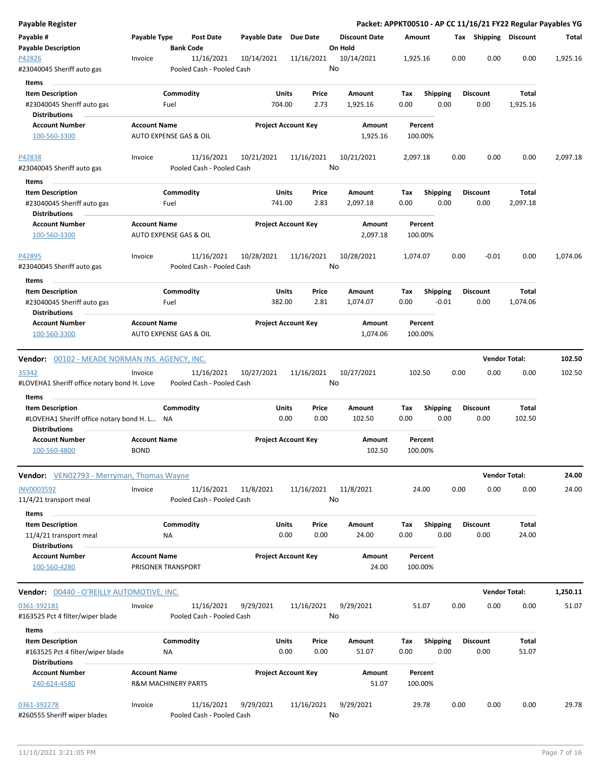| Payable Register                                      |                                               |                                         |                       |                            |                      |             |                         |      |                         | Packet: APPKT00510 - AP CC 11/16/21 FY22 Regular Payables YG |          |
|-------------------------------------------------------|-----------------------------------------------|-----------------------------------------|-----------------------|----------------------------|----------------------|-------------|-------------------------|------|-------------------------|--------------------------------------------------------------|----------|
| Payable #                                             | Payable Type                                  | <b>Post Date</b>                        | Payable Date Due Date |                            | <b>Discount Date</b> | Amount      |                         |      | Tax Shipping Discount   |                                                              | Total    |
| <b>Payable Description</b>                            |                                               | <b>Bank Code</b>                        |                       |                            | On Hold              |             |                         |      |                         |                                                              |          |
| P42826<br>#23040045 Sheriff auto gas                  | Invoice                                       | 11/16/2021<br>Pooled Cash - Pooled Cash | 10/14/2021            | 11/16/2021                 | 10/14/2021<br>No     | 1,925.16    |                         | 0.00 | 0.00                    | 0.00                                                         | 1,925.16 |
|                                                       |                                               |                                         |                       |                            |                      |             |                         |      |                         |                                                              |          |
| Items                                                 |                                               |                                         |                       |                            |                      |             |                         |      |                         |                                                              |          |
| <b>Item Description</b><br>#23040045 Sheriff auto gas | Fuel                                          | Commodity                               | Units<br>704.00       | Price<br>2.73              | Amount<br>1,925.16   | Tax<br>0.00 | <b>Shipping</b><br>0.00 |      | <b>Discount</b><br>0.00 | Total<br>1,925.16                                            |          |
| Distributions                                         |                                               |                                         |                       |                            |                      |             |                         |      |                         |                                                              |          |
| <b>Account Number</b><br>100-560-3300                 | <b>Account Name</b><br>AUTO EXPENSE GAS & OIL |                                         |                       | <b>Project Account Key</b> | Amount<br>1,925.16   | 100.00%     | Percent                 |      |                         |                                                              |          |
| P42838                                                | Invoice                                       | 11/16/2021                              | 10/21/2021            | 11/16/2021                 | 10/21/2021           | 2,097.18    |                         | 0.00 | 0.00                    | 0.00                                                         | 2,097.18 |
| #23040045 Sheriff auto gas                            |                                               | Pooled Cash - Pooled Cash               |                       |                            | No                   |             |                         |      |                         |                                                              |          |
| Items                                                 |                                               |                                         |                       |                            |                      |             |                         |      |                         |                                                              |          |
| <b>Item Description</b>                               |                                               | Commodity                               | Units                 | Price                      | Amount               | Tax         | <b>Shipping</b>         |      | <b>Discount</b>         | Total                                                        |          |
| #23040045 Sheriff auto gas<br><b>Distributions</b>    | Fuel                                          |                                         | 741.00                | 2.83                       | 2,097.18             | 0.00        | 0.00                    |      | 0.00                    | 2,097.18                                                     |          |
| <b>Account Number</b>                                 | <b>Account Name</b>                           |                                         |                       | <b>Project Account Key</b> | Amount               |             | Percent                 |      |                         |                                                              |          |
| 100-560-3300                                          | AUTO EXPENSE GAS & OIL                        |                                         |                       |                            | 2,097.18             | 100.00%     |                         |      |                         |                                                              |          |
| P42895                                                | Invoice                                       | 11/16/2021                              | 10/28/2021            | 11/16/2021                 | 10/28/2021           | 1,074.07    |                         | 0.00 | $-0.01$                 | 0.00                                                         | 1,074.06 |
| #23040045 Sheriff auto gas                            |                                               | Pooled Cash - Pooled Cash               |                       |                            | No                   |             |                         |      |                         |                                                              |          |
| <b>Items</b>                                          |                                               |                                         |                       |                            |                      |             |                         |      |                         |                                                              |          |
| <b>Item Description</b>                               |                                               | Commodity                               | Units                 | Price                      | Amount               | Tax         | <b>Shipping</b>         |      | Discount                | Total                                                        |          |
| #23040045 Sheriff auto gas<br><b>Distributions</b>    | Fuel                                          |                                         | 382.00                | 2.81                       | 1,074.07             | 0.00        | $-0.01$                 |      | 0.00                    | 1,074.06                                                     |          |
| <b>Account Number</b>                                 | <b>Account Name</b>                           |                                         |                       | <b>Project Account Key</b> | Amount               |             | Percent                 |      |                         |                                                              |          |
| 100-560-3300                                          | AUTO EXPENSE GAS & OIL                        |                                         |                       |                            | 1,074.06             | 100.00%     |                         |      |                         |                                                              |          |
|                                                       |                                               |                                         |                       |                            |                      |             |                         |      |                         |                                                              |          |
| <b>Vendor:</b> 00102 - MEADE NORMAN INS. AGENCY, INC. |                                               |                                         |                       |                            |                      |             |                         |      |                         | <b>Vendor Total:</b>                                         | 102.50   |
| <u>35342</u>                                          | Invoice                                       | 11/16/2021                              | 10/27/2021            | 11/16/2021                 | 10/27/2021           | 102.50      |                         | 0.00 | 0.00                    | 0.00                                                         | 102.50   |
| #LOVEHA1 Sheriff office notary bond H. Love           |                                               | Pooled Cash - Pooled Cash               |                       |                            | No                   |             |                         |      |                         |                                                              |          |
| Items                                                 |                                               |                                         |                       |                            |                      |             |                         |      |                         |                                                              |          |
| <b>Item Description</b>                               |                                               | Commodity                               | Units                 | Price                      | Amount               | Tax         | <b>Shipping</b>         |      | Discount                | Total                                                        |          |
| #LOVEHA1 Sheriff office notary bond H. L NA           |                                               |                                         |                       | 0.00<br>0.00               | 102.50               | 0.00        | 0.00                    |      | 0.00                    | 102.50                                                       |          |
| <b>Distributions</b>                                  |                                               |                                         |                       |                            |                      |             |                         |      |                         |                                                              |          |
| <b>Account Number</b>                                 | <b>Account Name</b>                           |                                         |                       | <b>Project Account Key</b> | Amount               |             | Percent                 |      |                         |                                                              |          |
| 100-560-4800                                          | <b>BOND</b>                                   |                                         |                       |                            | 102.50               | 100.00%     |                         |      |                         |                                                              |          |
|                                                       |                                               |                                         |                       |                            |                      |             |                         |      |                         |                                                              |          |
| Vendor: VEN02793 - Merryman, Thomas Wayne             |                                               |                                         |                       |                            |                      |             |                         |      |                         | <b>Vendor Total:</b>                                         | 24.00    |
| <b>INV0003592</b>                                     | Invoice                                       | 11/16/2021                              | 11/8/2021             | 11/16/2021                 | 11/8/2021            |             | 24.00                   | 0.00 | 0.00                    | 0.00                                                         | 24.00    |
| 11/4/21 transport meal                                |                                               | Pooled Cash - Pooled Cash               |                       |                            | No                   |             |                         |      |                         |                                                              |          |
|                                                       |                                               |                                         |                       |                            |                      |             |                         |      |                         |                                                              |          |
| Items                                                 |                                               |                                         |                       |                            |                      |             |                         |      |                         |                                                              |          |
| <b>Item Description</b>                               |                                               | Commodity                               | Units                 | Price                      | Amount               | Tax         | Shipping                |      | <b>Discount</b>         | Total                                                        |          |
| 11/4/21 transport meal<br><b>Distributions</b>        | ΝA                                            |                                         |                       | 0.00<br>0.00               | 24.00                | 0.00        | 0.00                    |      | 0.00                    | 24.00                                                        |          |
| <b>Account Number</b>                                 | <b>Account Name</b>                           |                                         |                       | <b>Project Account Key</b> | Amount               |             | Percent                 |      |                         |                                                              |          |
| 100-560-4280                                          | PRISONER TRANSPORT                            |                                         |                       |                            | 24.00                | 100.00%     |                         |      |                         |                                                              |          |
|                                                       |                                               |                                         |                       |                            |                      |             |                         |      |                         | <b>Vendor Total:</b>                                         | 1,250.11 |
| <b>Vendor:</b> 00440 - O'REILLY AUTOMOTIVE, INC.      |                                               |                                         |                       |                            |                      |             |                         |      |                         |                                                              |          |
| 0361-392181<br>#163525 Pct 4 filter/wiper blade       | Invoice                                       | 11/16/2021<br>Pooled Cash - Pooled Cash | 9/29/2021             | 11/16/2021                 | 9/29/2021<br>No      |             | 51.07                   | 0.00 | 0.00                    | 0.00                                                         | 51.07    |
| Items                                                 |                                               |                                         |                       |                            |                      |             |                         |      |                         |                                                              |          |
| <b>Item Description</b>                               |                                               | Commodity                               | Units                 | Price                      | Amount               | Tax         | Shipping                |      | <b>Discount</b>         | Total                                                        |          |
| #163525 Pct 4 filter/wiper blade                      | ΝA                                            |                                         |                       | 0.00<br>0.00               | 51.07                | 0.00        | 0.00                    |      | 0.00                    | 51.07                                                        |          |
| <b>Distributions</b>                                  |                                               |                                         |                       |                            |                      |             |                         |      |                         |                                                              |          |
| <b>Account Number</b>                                 | <b>Account Name</b>                           |                                         |                       | <b>Project Account Key</b> | Amount               |             | Percent                 |      |                         |                                                              |          |
| 240-624-4580                                          | <b>R&amp;M MACHINERY PARTS</b>                |                                         |                       |                            | 51.07                | 100.00%     |                         |      |                         |                                                              |          |
|                                                       |                                               |                                         |                       |                            |                      |             |                         |      |                         |                                                              |          |
| 0361-392278                                           | Invoice                                       | 11/16/2021                              | 9/29/2021             | 11/16/2021                 | 9/29/2021            |             | 29.78                   | 0.00 | 0.00                    | 0.00                                                         | 29.78    |
| #260555 Sheriff wiper blades                          |                                               | Pooled Cash - Pooled Cash               |                       |                            | No                   |             |                         |      |                         |                                                              |          |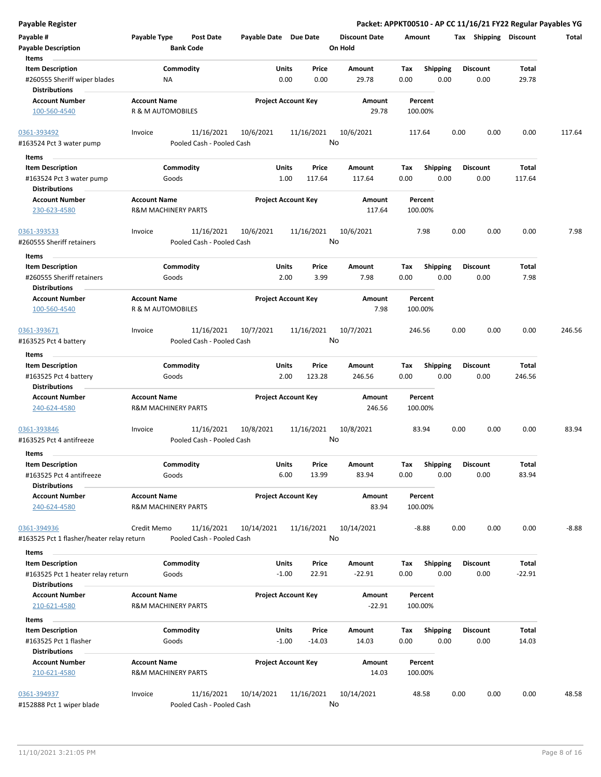| <b>Payable Register</b>                              |                                |                                           |                            |                  |                      |        |                 |      |                       |          | Packet: APPKT00510 - AP CC 11/16/21 FY22 Regular Payables YG |
|------------------------------------------------------|--------------------------------|-------------------------------------------|----------------------------|------------------|----------------------|--------|-----------------|------|-----------------------|----------|--------------------------------------------------------------|
| Payable #                                            | Payable Type                   | <b>Post Date</b><br>Payable Date Due Date |                            |                  | <b>Discount Date</b> | Amount |                 |      | Tax Shipping Discount |          | Total                                                        |
| <b>Payable Description</b>                           | <b>Bank Code</b>               |                                           |                            |                  | On Hold              |        |                 |      |                       |          |                                                              |
| Items                                                |                                |                                           |                            |                  |                      |        |                 |      |                       |          |                                                              |
| <b>Item Description</b>                              | Commodity                      |                                           | Units                      | Price            | Amount               | Tax    | <b>Shipping</b> |      | <b>Discount</b>       | Total    |                                                              |
| #260555 Sheriff wiper blades<br><b>Distributions</b> | ΝA                             |                                           | 0.00                       | 0.00             | 29.78                | 0.00   | 0.00            |      | 0.00                  | 29.78    |                                                              |
| <b>Account Number</b>                                | <b>Account Name</b>            |                                           | <b>Project Account Key</b> |                  | Amount               |        | Percent         |      |                       |          |                                                              |
| 100-560-4540                                         | R & M AUTOMOBILES              |                                           |                            |                  | 29.78                |        | 100.00%         |      |                       |          |                                                              |
| 0361-393492                                          | Invoice                        | 11/16/2021<br>10/6/2021                   |                            | 11/16/2021<br>No | 10/6/2021            |        | 117.64          | 0.00 | 0.00                  | 0.00     | 117.64                                                       |
| #163524 Pct 3 water pump                             |                                | Pooled Cash - Pooled Cash                 |                            |                  |                      |        |                 |      |                       |          |                                                              |
| Items                                                |                                |                                           |                            |                  |                      |        |                 |      |                       |          |                                                              |
| <b>Item Description</b>                              | Commodity                      |                                           | Units                      | Price            | Amount               | Tax    | <b>Shipping</b> |      | <b>Discount</b>       | Total    |                                                              |
| #163524 Pct 3 water pump<br><b>Distributions</b>     | Goods                          |                                           | 1.00                       | 117.64           | 117.64               | 0.00   | 0.00            |      | 0.00                  | 117.64   |                                                              |
| <b>Account Number</b>                                | <b>Account Name</b>            |                                           | <b>Project Account Key</b> |                  | Amount               |        | Percent         |      |                       |          |                                                              |
| 230-623-4580                                         | <b>R&amp;M MACHINERY PARTS</b> |                                           |                            |                  | 117.64               |        | 100.00%         |      |                       |          |                                                              |
| 0361-393533                                          | Invoice                        | 11/16/2021<br>10/6/2021                   |                            | 11/16/2021       | 10/6/2021            |        | 7.98            | 0.00 | 0.00                  | 0.00     | 7.98                                                         |
| #260555 Sheriff retainers                            |                                | Pooled Cash - Pooled Cash                 |                            | No               |                      |        |                 |      |                       |          |                                                              |
| Items                                                |                                |                                           |                            |                  |                      |        |                 |      |                       |          |                                                              |
| <b>Item Description</b>                              | Commodity                      |                                           | Units                      | Price            | Amount               | Tax    | <b>Shipping</b> |      | <b>Discount</b>       | Total    |                                                              |
| #260555 Sheriff retainers                            | Goods                          |                                           | 2.00                       | 3.99             | 7.98                 | 0.00   | 0.00            |      | 0.00                  | 7.98     |                                                              |
| <b>Distributions</b>                                 |                                |                                           |                            |                  |                      |        |                 |      |                       |          |                                                              |
| <b>Account Number</b>                                | <b>Account Name</b>            |                                           | <b>Project Account Key</b> |                  | Amount               |        | Percent         |      |                       |          |                                                              |
| 100-560-4540                                         | R & M AUTOMOBILES              |                                           |                            |                  | 7.98                 |        | 100.00%         |      |                       |          |                                                              |
| 0361-393671                                          | Invoice                        | 11/16/2021<br>10/7/2021                   |                            | 11/16/2021       | 10/7/2021            |        | 246.56          | 0.00 | 0.00                  | 0.00     | 246.56                                                       |
| #163525 Pct 4 battery                                |                                | Pooled Cash - Pooled Cash                 |                            | No               |                      |        |                 |      |                       |          |                                                              |
| Items                                                |                                |                                           |                            |                  |                      |        |                 |      |                       |          |                                                              |
| <b>Item Description</b>                              | Commodity                      |                                           | Units                      | Price            | Amount               | Tax    | <b>Shipping</b> |      | <b>Discount</b>       | Total    |                                                              |
| #163525 Pct 4 battery                                | Goods                          |                                           | 2.00                       | 123.28           | 246.56               | 0.00   | 0.00            |      | 0.00                  | 246.56   |                                                              |
| <b>Distributions</b>                                 |                                |                                           |                            |                  |                      |        |                 |      |                       |          |                                                              |
| <b>Account Number</b>                                | <b>Account Name</b>            |                                           | <b>Project Account Key</b> |                  | Amount               |        | Percent         |      |                       |          |                                                              |
| 240-624-4580                                         | <b>R&amp;M MACHINERY PARTS</b> |                                           |                            |                  | 246.56               |        | 100.00%         |      |                       |          |                                                              |
| 0361-393846                                          | Invoice                        | 11/16/2021<br>10/8/2021                   |                            | 11/16/2021       | 10/8/2021            |        | 83.94           | 0.00 | 0.00                  | 0.00     | 83.94                                                        |
| #163525 Pct 4 antifreeze                             |                                | Pooled Cash - Pooled Cash                 |                            | No               |                      |        |                 |      |                       |          |                                                              |
| Items                                                |                                |                                           |                            |                  |                      |        |                 |      |                       |          |                                                              |
| <b>Item Description</b>                              | Commodity                      |                                           | Units                      | Price            | Amount               | Tax    | <b>Shipping</b> |      | <b>Discount</b>       | Total    |                                                              |
| #163525 Pct 4 antifreeze                             | Goods                          |                                           | 6.00                       | 13.99            | 83.94                | 0.00   | 0.00            |      | 0.00                  | 83.94    |                                                              |
| <b>Distributions</b>                                 |                                |                                           |                            |                  |                      |        |                 |      |                       |          |                                                              |
| <b>Account Number</b>                                | <b>Account Name</b>            |                                           | <b>Project Account Key</b> |                  | Amount               |        | Percent         |      |                       |          |                                                              |
| 240-624-4580                                         | <b>R&amp;M MACHINERY PARTS</b> |                                           |                            |                  | 83.94                |        | 100.00%         |      |                       |          |                                                              |
| 0361-394936                                          | Credit Memo                    | 11/16/2021<br>10/14/2021                  |                            | 11/16/2021       | 10/14/2021           |        | $-8.88$         | 0.00 | 0.00                  | 0.00     | $-8.88$                                                      |
| #163525 Pct 1 flasher/heater relay return            |                                | Pooled Cash - Pooled Cash                 |                            | No               |                      |        |                 |      |                       |          |                                                              |
| Items                                                |                                |                                           |                            |                  |                      |        |                 |      |                       |          |                                                              |
| <b>Item Description</b>                              | Commodity                      |                                           | Units                      | Price            | Amount               | Тах    | <b>Shipping</b> |      | <b>Discount</b>       | Total    |                                                              |
| #163525 Pct 1 heater relay return                    | Goods                          |                                           | $-1.00$                    | 22.91            | $-22.91$             | 0.00   | 0.00            |      | 0.00                  | $-22.91$ |                                                              |
| <b>Distributions</b>                                 |                                |                                           |                            |                  |                      |        |                 |      |                       |          |                                                              |
| <b>Account Number</b>                                | <b>Account Name</b>            |                                           | <b>Project Account Key</b> |                  | Amount               |        | Percent         |      |                       |          |                                                              |
| 210-621-4580                                         | <b>R&amp;M MACHINERY PARTS</b> |                                           |                            |                  | $-22.91$             |        | 100.00%         |      |                       |          |                                                              |
| Items                                                |                                |                                           |                            |                  |                      |        |                 |      |                       |          |                                                              |
| <b>Item Description</b>                              | Commodity                      |                                           | Units                      | Price            | Amount               | Tax    | <b>Shipping</b> |      | <b>Discount</b>       | Total    |                                                              |
| #163525 Pct 1 flasher                                | Goods                          |                                           | $-1.00$                    | $-14.03$         | 14.03                | 0.00   | 0.00            |      | 0.00                  | 14.03    |                                                              |
| <b>Distributions</b>                                 |                                |                                           |                            |                  |                      |        |                 |      |                       |          |                                                              |
| <b>Account Number</b>                                | <b>Account Name</b>            |                                           | <b>Project Account Key</b> |                  | Amount               |        | Percent         |      |                       |          |                                                              |
| 210-621-4580                                         | <b>R&amp;M MACHINERY PARTS</b> |                                           |                            |                  | 14.03                |        | 100.00%         |      |                       |          |                                                              |
|                                                      |                                |                                           |                            |                  |                      |        |                 |      |                       |          |                                                              |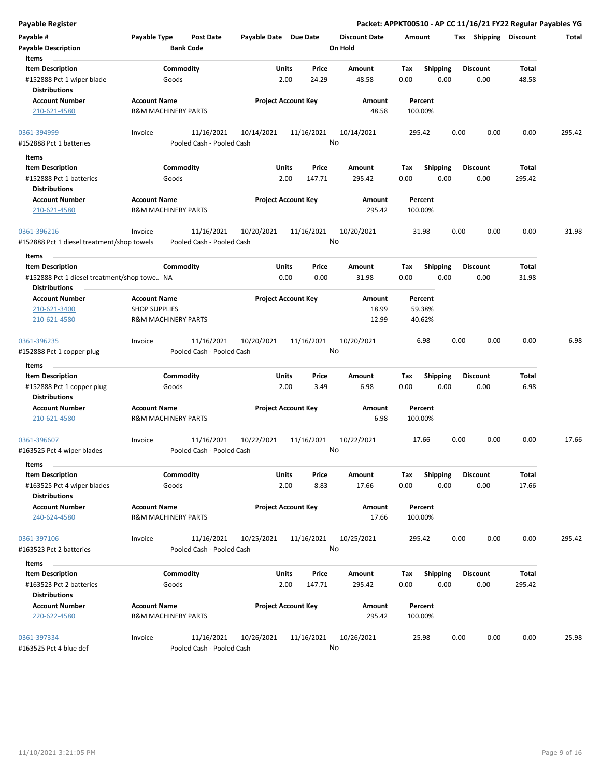| <b>Payable Register</b>                              |                                                       |                                                       |                            |                |                                 |             |                         |      |                         |                | Packet: APPKT00510 - AP CC 11/16/21 FY22 Regular Payables YG |
|------------------------------------------------------|-------------------------------------------------------|-------------------------------------------------------|----------------------------|----------------|---------------------------------|-------------|-------------------------|------|-------------------------|----------------|--------------------------------------------------------------|
| Payable #<br><b>Payable Description</b>              | Payable Type<br><b>Bank Code</b>                      | <b>Post Date</b><br>Payable Date Due Date             |                            |                | <b>Discount Date</b><br>On Hold | Amount      |                         |      | Tax Shipping Discount   |                | Total                                                        |
| Items                                                |                                                       |                                                       |                            |                |                                 |             |                         |      |                         |                |                                                              |
| <b>Item Description</b>                              | Commodity<br>Goods                                    |                                                       | Units<br>2.00              | Price<br>24.29 | <b>Amount</b><br>48.58          | Tax<br>0.00 | <b>Shipping</b><br>0.00 |      | <b>Discount</b><br>0.00 | Total<br>48.58 |                                                              |
| #152888 Pct 1 wiper blade<br><b>Distributions</b>    |                                                       |                                                       |                            |                |                                 |             |                         |      |                         |                |                                                              |
| <b>Account Number</b>                                | <b>Account Name</b>                                   |                                                       | <b>Project Account Key</b> |                | Amount                          |             | Percent                 |      |                         |                |                                                              |
| 210-621-4580                                         | <b>R&amp;M MACHINERY PARTS</b>                        |                                                       |                            |                | 48.58                           |             | 100.00%                 |      |                         |                |                                                              |
| 0361-394999                                          | Invoice                                               | 11/16/2021<br>10/14/2021                              |                            | 11/16/2021     | 10/14/2021                      |             | 295.42                  | 0.00 | 0.00                    | 0.00           | 295.42                                                       |
| #152888 Pct 1 batteries                              |                                                       | Pooled Cash - Pooled Cash                             |                            |                | No                              |             |                         |      |                         |                |                                                              |
| Items                                                |                                                       |                                                       |                            |                |                                 |             |                         |      |                         |                |                                                              |
| <b>Item Description</b>                              | Commodity                                             |                                                       | Units                      | Price          | Amount                          | Тах         | <b>Shipping</b>         |      | <b>Discount</b>         | Total          |                                                              |
| #152888 Pct 1 batteries                              | Goods                                                 |                                                       | 2.00                       | 147.71         | 295.42                          | 0.00        | 0.00                    |      | 0.00                    | 295.42         |                                                              |
| <b>Distributions</b>                                 |                                                       |                                                       |                            |                |                                 |             |                         |      |                         |                |                                                              |
| <b>Account Number</b>                                | <b>Account Name</b>                                   |                                                       | <b>Project Account Key</b> |                | Amount                          |             | Percent                 |      |                         |                |                                                              |
| 210-621-4580                                         | <b>R&amp;M MACHINERY PARTS</b>                        |                                                       |                            |                | 295.42                          |             | 100.00%                 |      |                         |                |                                                              |
| 0361-396216                                          | Invoice                                               | 11/16/2021<br>10/20/2021                              |                            | 11/16/2021     | 10/20/2021                      |             | 31.98                   | 0.00 | 0.00                    | 0.00           | 31.98                                                        |
| #152888 Pct 1 diesel treatment/shop towels           |                                                       | Pooled Cash - Pooled Cash                             |                            |                | No                              |             |                         |      |                         |                |                                                              |
| Items                                                |                                                       |                                                       |                            |                |                                 |             |                         |      |                         |                |                                                              |
| <b>Item Description</b>                              | Commodity                                             |                                                       | Units                      | Price          | <b>Amount</b>                   | Tax         | <b>Shipping</b>         |      | <b>Discount</b>         | Total          |                                                              |
| #152888 Pct 1 diesel treatment/shop towe NA          |                                                       |                                                       | 0.00                       | 0.00           | 31.98                           | 0.00        | 0.00                    |      | 0.00                    | 31.98          |                                                              |
| <b>Distributions</b>                                 |                                                       |                                                       |                            |                |                                 |             |                         |      |                         |                |                                                              |
| <b>Account Number</b>                                | <b>Account Name</b>                                   |                                                       | <b>Project Account Key</b> |                | Amount                          |             | Percent                 |      |                         |                |                                                              |
| 210-621-3400                                         | <b>SHOP SUPPLIES</b>                                  |                                                       |                            |                | 18.99                           |             | 59.38%                  |      |                         |                |                                                              |
| 210-621-4580                                         | <b>R&amp;M MACHINERY PARTS</b>                        |                                                       |                            |                | 12.99                           |             | 40.62%                  |      |                         |                |                                                              |
| 0361-396235                                          | Invoice                                               | 11/16/2021<br>10/20/2021                              |                            | 11/16/2021     | 10/20/2021                      |             | 6.98                    | 0.00 | 0.00                    | 0.00           | 6.98                                                         |
| #152888 Pct 1 copper plug                            |                                                       | Pooled Cash - Pooled Cash                             |                            |                | No                              |             |                         |      |                         |                |                                                              |
| Items                                                |                                                       |                                                       |                            |                |                                 |             |                         |      |                         |                |                                                              |
| <b>Item Description</b><br>#152888 Pct 1 copper plug | Commodity<br>Goods                                    |                                                       | Units<br>2.00              | Price<br>3.49  | Amount<br>6.98                  | Tax<br>0.00 | <b>Shipping</b><br>0.00 |      | <b>Discount</b><br>0.00 | Total<br>6.98  |                                                              |
| <b>Distributions</b>                                 |                                                       |                                                       |                            |                |                                 |             |                         |      |                         |                |                                                              |
| <b>Account Number</b><br>210-621-4580                | <b>Account Name</b><br><b>R&amp;M MACHINERY PARTS</b> |                                                       | <b>Project Account Key</b> |                | Amount<br>6.98                  |             | Percent<br>100.00%      |      |                         |                |                                                              |
| 0361-396607<br>#163525 Pct 4 wiper blades            | Invoice                                               | 11/16/2021<br>10/22/2021<br>Pooled Cash - Pooled Cash |                            | 11/16/2021     | 10/22/2021<br>No                |             | 17.66                   | 0.00 | 0.00                    | 0.00           | 17.66                                                        |
| Items                                                |                                                       |                                                       |                            |                |                                 |             |                         |      |                         |                |                                                              |
| <b>Item Description</b>                              | Commodity                                             |                                                       | Units                      | Price          | Amount                          | Tax         | <b>Shipping</b>         |      | <b>Discount</b>         | Total          |                                                              |
| #163525 Pct 4 wiper blades<br><b>Distributions</b>   | Goods                                                 |                                                       | 2.00                       | 8.83           | 17.66                           | 0.00        | 0.00                    |      | 0.00                    | 17.66          |                                                              |
| <b>Account Number</b><br>240-624-4580                | <b>Account Name</b><br><b>R&amp;M MACHINERY PARTS</b> |                                                       | <b>Project Account Key</b> |                | Amount<br>17.66                 |             | Percent<br>100.00%      |      |                         |                |                                                              |
| 0361-397106                                          | Invoice                                               | 11/16/2021<br>10/25/2021                              |                            | 11/16/2021     | 10/25/2021                      |             | 295.42                  | 0.00 | 0.00                    | 0.00           | 295.42                                                       |
| #163523 Pct 2 batteries                              |                                                       | Pooled Cash - Pooled Cash                             |                            |                | No                              |             |                         |      |                         |                |                                                              |
|                                                      |                                                       |                                                       |                            |                |                                 |             |                         |      |                         |                |                                                              |
| Items                                                |                                                       |                                                       | Units                      | Price          |                                 |             |                         |      |                         | Total          |                                                              |
| <b>Item Description</b><br>#163523 Pct 2 batteries   | Commodity<br>Goods                                    |                                                       | 2.00                       | 147.71         | Amount<br>295.42                | Тах<br>0.00 | <b>Shipping</b><br>0.00 |      | <b>Discount</b><br>0.00 | 295.42         |                                                              |
| <b>Distributions</b>                                 |                                                       |                                                       |                            |                |                                 |             |                         |      |                         |                |                                                              |
|                                                      |                                                       |                                                       |                            |                |                                 |             |                         |      |                         |                |                                                              |
| <b>Account Number</b><br>220-622-4580                | <b>Account Name</b><br><b>R&amp;M MACHINERY PARTS</b> |                                                       | <b>Project Account Key</b> |                | Amount<br>295.42                |             | Percent<br>100.00%      |      |                         |                |                                                              |
| 0361-397334                                          | Invoice                                               | 11/16/2021<br>10/26/2021                              |                            | 11/16/2021     | 10/26/2021                      |             | 25.98                   | 0.00 | 0.00                    | 0.00           | 25.98                                                        |
| #163525 Pct 4 blue def                               |                                                       | Pooled Cash - Pooled Cash                             |                            |                | No                              |             |                         |      |                         |                |                                                              |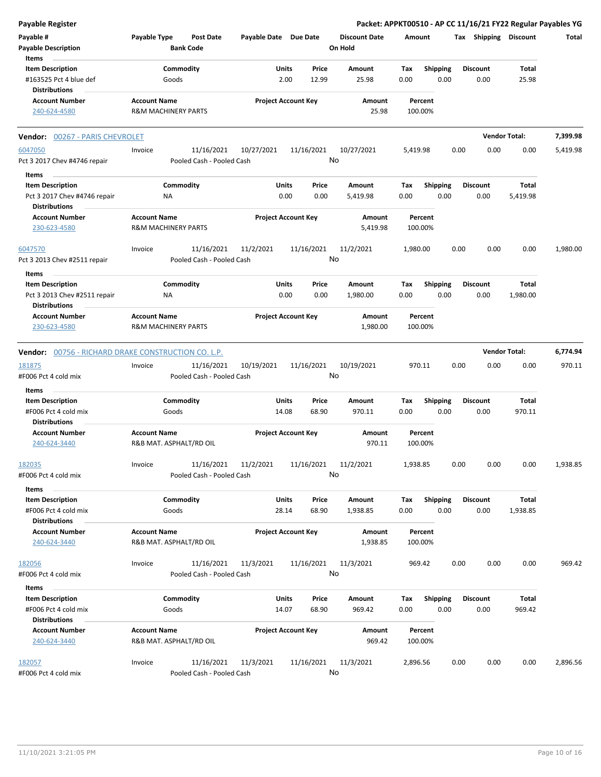| <b>Payable Register</b>                                                                  |                                                       |                                         |                       |                            |                                 |                    |                         | Packet: APPKT00510 - AP CC 11/16/21 FY22 Regular Payables YG |                      |          |
|------------------------------------------------------------------------------------------|-------------------------------------------------------|-----------------------------------------|-----------------------|----------------------------|---------------------------------|--------------------|-------------------------|--------------------------------------------------------------|----------------------|----------|
| Payable #<br><b>Payable Description</b>                                                  | Payable Type                                          | <b>Post Date</b><br><b>Bank Code</b>    | Payable Date Due Date |                            | <b>Discount Date</b><br>On Hold | Amount             |                         | Tax Shipping Discount                                        |                      | Total    |
| Items<br><b>Item Description</b><br>#163525 Pct 4 blue def<br><b>Distributions</b>       |                                                       | Commodity<br>Goods                      | Units                 | Price<br>2.00<br>12.99     | Amount<br>25.98                 | Tax<br>0.00        | <b>Shipping</b><br>0.00 | <b>Discount</b><br>0.00                                      | Total<br>25.98       |          |
| <b>Account Number</b><br>240-624-4580                                                    | <b>Account Name</b><br><b>R&amp;M MACHINERY PARTS</b> |                                         |                       | <b>Project Account Key</b> | Amount<br>25.98                 | Percent<br>100.00% |                         |                                                              |                      |          |
| Vendor: 00267 - PARIS CHEVROLET                                                          |                                                       |                                         |                       |                            |                                 |                    |                         |                                                              | <b>Vendor Total:</b> | 7,399.98 |
| 6047050<br>Pct 3 2017 Chev #4746 repair                                                  | Invoice                                               | 11/16/2021<br>Pooled Cash - Pooled Cash | 10/27/2021            | 11/16/2021                 | 10/27/2021<br>No                | 5,419.98           |                         | 0.00<br>0.00                                                 | 0.00                 | 5,419.98 |
| Items<br><b>Item Description</b><br>Pct 3 2017 Chev #4746 repair<br><b>Distributions</b> | ΝA                                                    | Commodity                               | Units                 | Price<br>0.00<br>0.00      | Amount<br>5,419.98              | Tax<br>0.00        | <b>Shipping</b><br>0.00 | <b>Discount</b><br>0.00                                      | Total<br>5,419.98    |          |
| <b>Account Number</b><br>230-623-4580                                                    | <b>Account Name</b><br><b>R&amp;M MACHINERY PARTS</b> |                                         |                       | <b>Project Account Key</b> | Amount<br>5,419.98              | Percent<br>100.00% |                         |                                                              |                      |          |
| 6047570<br>Pct 3 2013 Chev #2511 repair                                                  | Invoice                                               | 11/16/2021<br>Pooled Cash - Pooled Cash | 11/2/2021             | 11/16/2021                 | 11/2/2021<br>No                 | 1,980.00           |                         | 0.00<br>0.00                                                 | 0.00                 | 1,980.00 |
| Items<br><b>Item Description</b><br>Pct 3 2013 Chev #2511 repair<br><b>Distributions</b> | ΝA                                                    | Commodity                               | Units                 | Price<br>0.00<br>0.00      | Amount<br>1,980.00              | Тах<br>0.00        | <b>Shipping</b><br>0.00 | <b>Discount</b><br>0.00                                      | Total<br>1,980.00    |          |
| <b>Account Number</b><br>230-623-4580                                                    | <b>Account Name</b><br><b>R&amp;M MACHINERY PARTS</b> |                                         |                       | <b>Project Account Key</b> | Amount<br>1,980.00              | Percent<br>100.00% |                         |                                                              |                      |          |
| Vendor: 00756 - RICHARD DRAKE CONSTRUCTION CO. L.P.                                      |                                                       |                                         |                       |                            |                                 |                    |                         |                                                              | <b>Vendor Total:</b> | 6,774.94 |
| 181875<br>#F006 Pct 4 cold mix                                                           | Invoice                                               | 11/16/2021<br>Pooled Cash - Pooled Cash | 10/19/2021            | 11/16/2021                 | 10/19/2021<br>No                | 970.11             |                         | 0.00<br>0.00                                                 | 0.00                 | 970.11   |
| Items<br><b>Item Description</b><br>#F006 Pct 4 cold mix<br><b>Distributions</b>         |                                                       | Commodity<br>Goods                      | Units<br>14.08        | Price<br>68.90             | Amount<br>970.11                | Tax<br>0.00        | Shipping<br>0.00        | Discount<br>0.00                                             | Total<br>970.11      |          |
| <b>Account Number</b><br>240-624-3440                                                    | <b>Account Name</b>                                   | R&B MAT. ASPHALT/RD OIL                 |                       | <b>Project Account Key</b> | Amount<br>970.11                | Percent<br>100.00% |                         |                                                              |                      |          |
| 182035<br>#F006 Pct 4 cold mix                                                           | Invoice                                               | 11/16/2021<br>Pooled Cash - Pooled Cash | 11/2/2021             | 11/16/2021                 | 11/2/2021<br>No                 | 1,938.85           |                         | 0.00<br>0.00                                                 | 0.00                 | 1,938.85 |
| Items<br><b>Item Description</b><br>#F006 Pct 4 cold mix<br><b>Distributions</b>         |                                                       | Commodity<br>Goods                      | Units<br>28.14        | Price<br>68.90             | Amount<br>1,938.85              | Tax<br>0.00        | <b>Shipping</b><br>0.00 | <b>Discount</b><br>0.00                                      | Total<br>1,938.85    |          |
| <b>Account Number</b><br>240-624-3440                                                    | <b>Account Name</b>                                   | R&B MAT. ASPHALT/RD OIL                 |                       | <b>Project Account Key</b> | Amount<br>1,938.85              | Percent<br>100.00% |                         |                                                              |                      |          |
| 182056<br>#F006 Pct 4 cold mix                                                           | Invoice                                               | 11/16/2021<br>Pooled Cash - Pooled Cash | 11/3/2021             | 11/16/2021                 | 11/3/2021<br>No                 | 969.42             |                         | 0.00<br>0.00                                                 | 0.00                 | 969.42   |
| Items<br><b>Item Description</b><br>#F006 Pct 4 cold mix                                 |                                                       | Commodity<br>Goods                      | Units<br>14.07        | Price<br>68.90             | Amount<br>969.42                | Тах<br>0.00        | <b>Shipping</b><br>0.00 | <b>Discount</b><br>0.00                                      | Total<br>969.42      |          |
| <b>Distributions</b><br><b>Account Number</b><br>240-624-3440                            | <b>Account Name</b>                                   | R&B MAT. ASPHALT/RD OIL                 |                       | <b>Project Account Key</b> | Amount<br>969.42                | Percent<br>100.00% |                         |                                                              |                      |          |
| 182057<br>#F006 Pct 4 cold mix                                                           | Invoice                                               | 11/16/2021<br>Pooled Cash - Pooled Cash | 11/3/2021             | 11/16/2021                 | 11/3/2021<br>No                 | 2,896.56           |                         | 0.00<br>0.00                                                 | 0.00                 | 2,896.56 |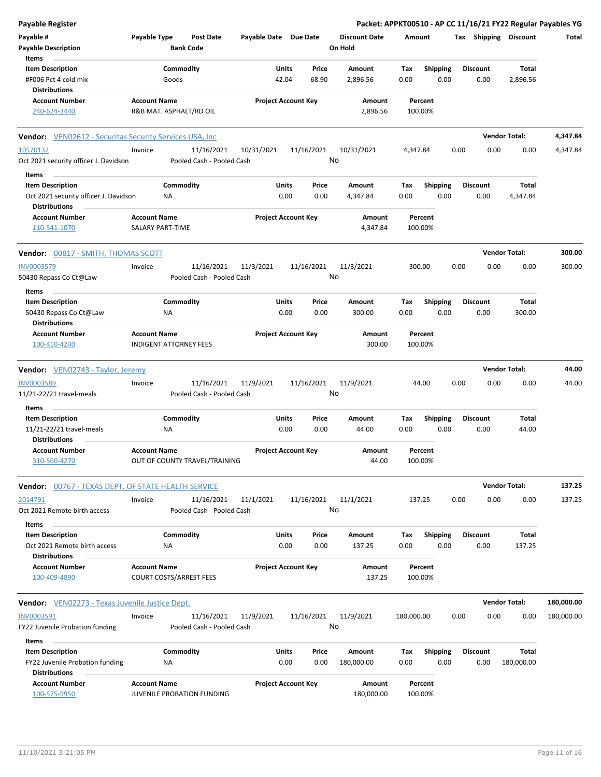| <b>Payable Register</b>                                        |                                                      |                                      |                            |       |            |                                 |            |                    |      |                 |                       | Packet: APPKT00510 - AP CC 11/16/21 FY22 Regular Payables YG |
|----------------------------------------------------------------|------------------------------------------------------|--------------------------------------|----------------------------|-------|------------|---------------------------------|------------|--------------------|------|-----------------|-----------------------|--------------------------------------------------------------|
| Payable #<br><b>Payable Description</b>                        | Payable Type                                         | <b>Post Date</b><br><b>Bank Code</b> | Payable Date Due Date      |       |            | <b>Discount Date</b><br>On Hold | Amount     |                    |      |                 | Tax Shipping Discount | Total                                                        |
| Items                                                          |                                                      |                                      |                            |       |            |                                 |            |                    |      |                 |                       |                                                              |
| <b>Item Description</b>                                        | Commodity                                            |                                      |                            | Units | Price      | Amount                          | Tax        | <b>Shipping</b>    |      | <b>Discount</b> | Total                 |                                                              |
| #F006 Pct 4 cold mix<br><b>Distributions</b>                   | Goods                                                |                                      |                            | 42.04 | 68.90      | 2,896.56                        | 0.00       | 0.00               |      | 0.00            | 2,896.56              |                                                              |
| <b>Account Number</b>                                          | <b>Account Name</b>                                  |                                      | <b>Project Account Key</b> |       |            | Amount                          |            | Percent            |      |                 |                       |                                                              |
| 240-624-3440                                                   | R&B MAT. ASPHALT/RD OIL                              |                                      |                            |       |            | 2,896.56                        |            | 100.00%            |      |                 |                       |                                                              |
| <b>Vendor:</b> VEN02612 - Securitas Security Services USA, Inc |                                                      |                                      |                            |       |            |                                 |            |                    |      |                 | <b>Vendor Total:</b>  | 4,347.84                                                     |
| 10570132                                                       | Invoice                                              | 11/16/2021                           | 10/31/2021                 |       | 11/16/2021 | 10/31/2021                      | 4,347.84   |                    | 0.00 | 0.00            | 0.00                  | 4,347.84                                                     |
| Oct 2021 security officer J. Davidson                          |                                                      | Pooled Cash - Pooled Cash            |                            |       | No         |                                 |            |                    |      |                 |                       |                                                              |
| Items                                                          |                                                      |                                      |                            |       |            |                                 |            |                    |      |                 |                       |                                                              |
| <b>Item Description</b>                                        | Commodity                                            |                                      |                            | Units | Price      | Amount                          | Tax        | <b>Shipping</b>    |      | <b>Discount</b> | Total                 |                                                              |
| Oct 2021 security officer J. Davidson                          | ΝA                                                   |                                      |                            | 0.00  | 0.00       | 4,347.84                        | 0.00       | 0.00               |      | 0.00            | 4,347.84              |                                                              |
| <b>Distributions</b>                                           |                                                      |                                      |                            |       |            |                                 |            |                    |      |                 |                       |                                                              |
| <b>Account Number</b><br>110-541-1070                          | <b>Account Name</b><br>SALARY PART-TIME              |                                      | <b>Project Account Key</b> |       |            | Amount<br>4,347.84              |            | Percent<br>100.00% |      |                 |                       |                                                              |
| Vendor: 00817 - SMITH, THOMAS SCOTT                            |                                                      |                                      |                            |       |            |                                 |            |                    |      |                 | <b>Vendor Total:</b>  | 300.00                                                       |
| INV0003579                                                     | Invoice                                              | 11/16/2021                           | 11/3/2021                  |       | 11/16/2021 | 11/3/2021                       |            | 300.00             | 0.00 | 0.00            | 0.00                  | 300.00                                                       |
| 50430 Repass Co Ct@Law                                         |                                                      | Pooled Cash - Pooled Cash            |                            |       | No         |                                 |            |                    |      |                 |                       |                                                              |
| Items                                                          |                                                      |                                      |                            |       |            |                                 |            |                    |      |                 |                       |                                                              |
| <b>Item Description</b>                                        | Commodity                                            |                                      |                            | Units | Price      | Amount                          | Tax        | <b>Shipping</b>    |      | <b>Discount</b> | Total                 |                                                              |
| 50430 Repass Co Ct@Law                                         | ΝA                                                   |                                      |                            | 0.00  | 0.00       | 300.00                          | 0.00       | 0.00               |      | 0.00            | 300.00                |                                                              |
| <b>Distributions</b>                                           |                                                      |                                      |                            |       |            |                                 |            |                    |      |                 |                       |                                                              |
| <b>Account Number</b><br>100-410-4240                          | <b>Account Name</b><br><b>INDIGENT ATTORNEY FEES</b> |                                      | <b>Project Account Key</b> |       |            | Amount<br>300.00                |            | Percent<br>100.00% |      |                 |                       |                                                              |
| Vendor: VEN02743 - Taylor, Jeremy                              |                                                      |                                      |                            |       |            |                                 |            |                    |      |                 | <b>Vendor Total:</b>  | 44.00                                                        |
| INV0003589                                                     | Invoice                                              | 11/16/2021                           | 11/9/2021                  |       | 11/16/2021 | 11/9/2021                       |            | 44.00              | 0.00 | 0.00            | 0.00                  | 44.00                                                        |
| 11/21-22/21 travel-meals                                       |                                                      | Pooled Cash - Pooled Cash            |                            |       | No         |                                 |            |                    |      |                 |                       |                                                              |
| Items                                                          |                                                      |                                      |                            |       |            |                                 |            |                    |      |                 |                       |                                                              |
| <b>Item Description</b>                                        | Commodity                                            |                                      |                            | Units | Price      | Amount                          | Tax        | Shipping           |      | <b>Discount</b> | Total                 |                                                              |
| 11/21-22/21 travel-meals<br><b>Distributions</b>               | NA                                                   |                                      |                            | 0.00  | 0.00       | 44.00                           | 0.00       | 0.00               |      | 0.00            | 44.00                 |                                                              |
| <b>Account Number</b><br>310-560-4270                          | <b>Account Name</b><br>OUT OF COUNTY TRAVEL/TRAINING |                                      | <b>Project Account Key</b> |       |            | Amount<br>44.00                 |            | Percent<br>100.00% |      |                 |                       |                                                              |
| <b>Vendor: 00767 - TEXAS DEPT. OF STATE HEALTH SERVICE</b>     |                                                      |                                      |                            |       |            |                                 |            |                    |      |                 | <b>Vendor Total:</b>  | 137.25                                                       |
| 2014791                                                        | Invoice                                              | 11/16/2021                           | 11/1/2021                  |       | 11/16/2021 | 11/1/2021                       |            | 137.25             | 0.00 | 0.00            | 0.00                  | 137.25                                                       |
| Oct 2021 Remote birth access                                   |                                                      | Pooled Cash - Pooled Cash            |                            |       | No         |                                 |            |                    |      |                 |                       |                                                              |
| Items                                                          |                                                      |                                      |                            |       |            |                                 |            |                    |      |                 |                       |                                                              |
| <b>Item Description</b>                                        | Commodity                                            |                                      |                            | Units | Price      | Amount                          | Tax        | <b>Shipping</b>    |      | Discount        | Total                 |                                                              |
| Oct 2021 Remote birth access<br><b>Distributions</b>           | ΝA                                                   |                                      |                            | 0.00  | 0.00       | 137.25                          | 0.00       | 0.00               |      | 0.00            | 137.25                |                                                              |
| <b>Account Number</b>                                          | <b>Account Name</b>                                  |                                      | <b>Project Account Key</b> |       |            | Amount                          |            | Percent            |      |                 |                       |                                                              |
| 100-409-4890                                                   | <b>COURT COSTS/ARREST FEES</b>                       |                                      |                            |       |            | 137.25                          |            | 100.00%            |      |                 |                       |                                                              |
| <b>Vendor:</b> VEN02273 - Texas Juvenile Justice Dept.         |                                                      |                                      |                            |       |            |                                 |            |                    |      |                 | <b>Vendor Total:</b>  | 180,000.00                                                   |
| INV0003591                                                     | Invoice                                              | 11/16/2021                           | 11/9/2021                  |       | 11/16/2021 | 11/9/2021                       | 180,000.00 |                    | 0.00 | 0.00            | 0.00                  | 180,000.00                                                   |
| FY22 Juvenile Probation funding                                |                                                      | Pooled Cash - Pooled Cash            |                            |       |            | No                              |            |                    |      |                 |                       |                                                              |
| Items                                                          |                                                      |                                      |                            |       |            |                                 |            |                    |      |                 |                       |                                                              |
| <b>Item Description</b>                                        | Commodity                                            |                                      |                            | Units | Price      | Amount                          | Tax        | <b>Shipping</b>    |      | Discount        | Total                 |                                                              |
| FY22 Juvenile Probation funding<br><b>Distributions</b>        | NA                                                   |                                      |                            | 0.00  | 0.00       | 180,000.00                      | 0.00       | 0.00               |      | 0.00            | 180,000.00            |                                                              |
| <b>Account Number</b><br>100-575-9950                          | <b>Account Name</b><br>JUVENILE PROBATION FUNDING    |                                      | <b>Project Account Key</b> |       |            | Amount<br>180,000.00            |            | Percent<br>100.00% |      |                 |                       |                                                              |
|                                                                |                                                      |                                      |                            |       |            |                                 |            |                    |      |                 |                       |                                                              |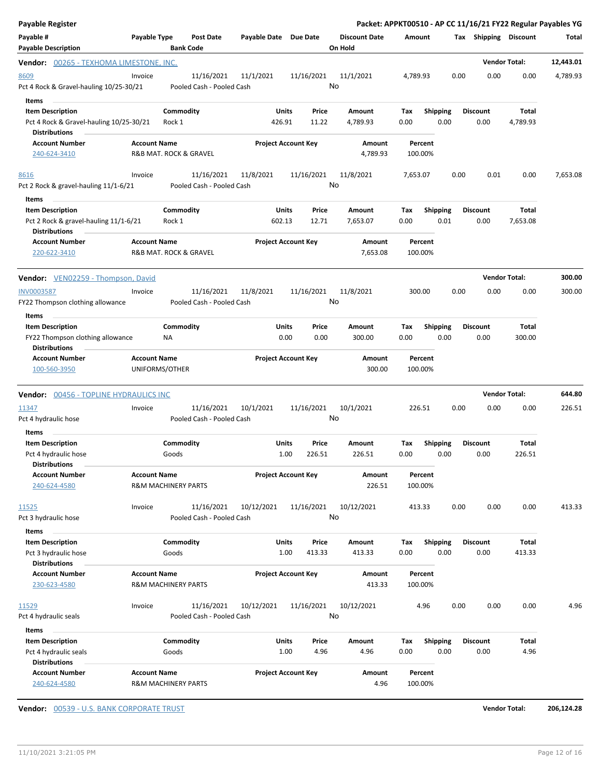| Payable Register                                                                           |                                                       |                                |                                         |                            |                 |                  |                                 |                    |                         |      |                         |                      | Packet: APPKT00510 - AP CC 11/16/21 FY22 Regular Payables YG |
|--------------------------------------------------------------------------------------------|-------------------------------------------------------|--------------------------------|-----------------------------------------|----------------------------|-----------------|------------------|---------------------------------|--------------------|-------------------------|------|-------------------------|----------------------|--------------------------------------------------------------|
| Payable #<br><b>Payable Description</b>                                                    | Payable Type                                          |                                | <b>Post Date</b><br><b>Bank Code</b>    | Payable Date Due Date      |                 |                  | <b>Discount Date</b><br>On Hold | Amount             |                         |      | Tax Shipping Discount   |                      | Total                                                        |
| <b>Vendor:</b> 00265 - TEXHOMA LIMESTONE, INC.                                             |                                                       |                                |                                         |                            |                 |                  |                                 |                    |                         |      |                         | <b>Vendor Total:</b> | 12,443.01                                                    |
| 8609<br>Pct 4 Rock & Gravel-hauling 10/25-30/21<br><b>Items</b>                            | Invoice                                               |                                | 11/16/2021<br>Pooled Cash - Pooled Cash | 11/1/2021                  |                 | 11/16/2021<br>No | 11/1/2021                       | 4,789.93           |                         | 0.00 | 0.00                    | 0.00                 | 4,789.93                                                     |
| <b>Item Description</b><br>Pct 4 Rock & Gravel-hauling 10/25-30/21<br><b>Distributions</b> |                                                       | Commodity<br>Rock 1            |                                         |                            | Units<br>426.91 | Price<br>11.22   | Amount<br>4,789.93              | Tax<br>0.00        | <b>Shipping</b><br>0.00 |      | <b>Discount</b><br>0.00 | Total<br>4,789.93    |                                                              |
| <b>Account Number</b><br>240-624-3410                                                      | <b>Account Name</b>                                   |                                | R&B MAT. ROCK & GRAVEL                  | <b>Project Account Key</b> |                 |                  | Amount<br>4,789.93              | Percent<br>100.00% |                         |      |                         |                      |                                                              |
| 8616<br>Pct 2 Rock & gravel-hauling 11/1-6/21                                              | Invoice                                               |                                | 11/16/2021<br>Pooled Cash - Pooled Cash | 11/8/2021                  |                 | 11/16/2021<br>No | 11/8/2021                       | 7,653.07           |                         | 0.00 | 0.01                    | 0.00                 | 7,653.08                                                     |
| Items<br><b>Item Description</b><br>Pct 2 Rock & gravel-hauling 11/1-6/21                  |                                                       | Commodity<br>Rock 1            |                                         |                            | Units<br>602.13 | Price<br>12.71   | Amount<br>7,653.07              | Tax<br>0.00        | <b>Shipping</b><br>0.01 |      | <b>Discount</b><br>0.00 | Total<br>7,653.08    |                                                              |
| <b>Distributions</b><br><b>Account Number</b><br>220-622-3410                              | <b>Account Name</b>                                   |                                | <b>R&amp;B MAT. ROCK &amp; GRAVEL</b>   | <b>Project Account Key</b> |                 |                  | Amount<br>7,653.08              | Percent<br>100.00% |                         |      |                         |                      |                                                              |
| Vendor: VEN02259 - Thompson, David                                                         |                                                       |                                |                                         |                            |                 |                  |                                 |                    |                         |      |                         | <b>Vendor Total:</b> | 300.00                                                       |
| <b>INV0003587</b><br>FY22 Thompson clothing allowance<br>Items                             | Invoice                                               |                                | 11/16/2021<br>Pooled Cash - Pooled Cash | 11/8/2021                  |                 | 11/16/2021<br>No | 11/8/2021                       | 300.00             |                         | 0.00 | 0.00                    | 0.00                 | 300.00                                                       |
| <b>Item Description</b><br>FY22 Thompson clothing allowance<br><b>Distributions</b>        |                                                       | Commodity<br>ΝA                |                                         |                            | Units<br>0.00   | Price<br>0.00    | Amount<br>300.00                | Tax<br>0.00        | <b>Shipping</b><br>0.00 |      | <b>Discount</b><br>0.00 | Total<br>300.00      |                                                              |
| <b>Account Number</b><br>100-560-3950                                                      | <b>Account Name</b><br>UNIFORMS/OTHER                 |                                |                                         | <b>Project Account Key</b> |                 |                  | Amount<br>300.00                | Percent<br>100.00% |                         |      |                         |                      |                                                              |
| <b>Vendor: 00456 - TOPLINE HYDRAULICS INC</b>                                              |                                                       |                                |                                         |                            |                 |                  |                                 |                    |                         |      |                         | <b>Vendor Total:</b> | 644.80                                                       |
| 11347<br>Pct 4 hydraulic hose                                                              | Invoice                                               |                                | 11/16/2021<br>Pooled Cash - Pooled Cash | 10/1/2021                  |                 | 11/16/2021<br>No | 10/1/2021                       | 226.51             |                         | 0.00 | 0.00                    | 0.00                 | 226.51                                                       |
| Items<br><b>Item Description</b><br>Pct 4 hydraulic hose<br><b>Distributions</b>           |                                                       | Commodity<br>Goods             |                                         |                            | Units<br>1.00   | Price<br>226.51  | Amount<br>226.51                | Tax<br>0.00        | <b>Shipping</b><br>0.00 |      | <b>Discount</b><br>0.00 | Total<br>226.51      |                                                              |
| <b>Account Number</b><br>240-624-4580                                                      | <b>Account Name</b><br><b>R&amp;M MACHINERY PARTS</b> |                                |                                         | <b>Project Account Key</b> |                 |                  | Amount<br>226.51                | Percent<br>100.00% |                         |      |                         |                      |                                                              |
| 11525<br>Pct 3 hydraulic hose                                                              | Invoice                                               |                                | 11/16/2021<br>Pooled Cash - Pooled Cash | 10/12/2021                 |                 | 11/16/2021<br>No | 10/12/2021                      | 413.33             |                         | 0.00 | 0.00                    | 0.00                 | 413.33                                                       |
| Items<br><b>Item Description</b><br>Pct 3 hydraulic hose<br><b>Distributions</b>           |                                                       | Commodity<br>Goods             |                                         |                            | Units<br>1.00   | Price<br>413.33  | Amount<br>413.33                | Tax<br>0.00        | Shipping<br>0.00        |      | <b>Discount</b><br>0.00 | Total<br>413.33      |                                                              |
| <b>Account Number</b><br>230-623-4580                                                      | <b>Account Name</b>                                   | <b>R&amp;M MACHINERY PARTS</b> |                                         | <b>Project Account Key</b> |                 |                  | Amount<br>413.33                | Percent<br>100.00% |                         |      |                         |                      |                                                              |
| 11529<br>Pct 4 hydraulic seals                                                             | Invoice                                               |                                | 11/16/2021<br>Pooled Cash - Pooled Cash | 10/12/2021                 |                 | 11/16/2021<br>No | 10/12/2021                      | 4.96               |                         | 0.00 | 0.00                    | 0.00                 | 4.96                                                         |
| Items<br><b>Item Description</b><br>Pct 4 hydraulic seals<br><b>Distributions</b>          |                                                       | Commodity<br>Goods             |                                         |                            | Units<br>1.00   | Price<br>4.96    | Amount<br>4.96                  | Tax<br>0.00        | <b>Shipping</b><br>0.00 |      | <b>Discount</b><br>0.00 | Total<br>4.96        |                                                              |
| <b>Account Number</b><br>240-624-4580                                                      | <b>Account Name</b><br><b>R&amp;M MACHINERY PARTS</b> |                                |                                         | <b>Project Account Key</b> |                 |                  | Amount<br>4.96                  | Percent<br>100.00% |                         |      |                         |                      |                                                              |

**Vendor:** 00539 - U.S. BANK CORPORATE TRUST **Vendor Total: 206,124.28**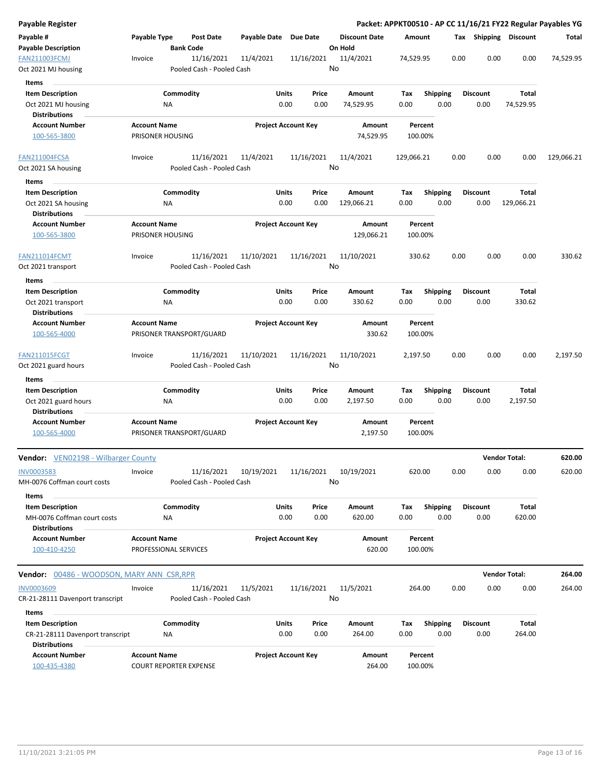| Payable Register                                    |                                                    |           |                                         |                            |                                            |       |                      |            |                    |      |                       |                      | Packet: APPKT00510 - AP CC 11/16/21 FY22 Regular Payables YG |
|-----------------------------------------------------|----------------------------------------------------|-----------|-----------------------------------------|----------------------------|--------------------------------------------|-------|----------------------|------------|--------------------|------|-----------------------|----------------------|--------------------------------------------------------------|
| Payable #                                           | Payable Type                                       |           | Post Date                               | Payable Date               | Due Date                                   |       | <b>Discount Date</b> | Amount     |                    |      | Tax Shipping Discount |                      | Total                                                        |
| <b>Payable Description</b>                          |                                                    |           | <b>Bank Code</b>                        |                            |                                            |       | On Hold              |            |                    |      |                       |                      |                                                              |
| <b>FAN211003FCMJ</b><br>Oct 2021 MJ housing         | 11/16/2021<br>Invoice<br>Pooled Cash - Pooled Cash |           |                                         |                            | 11/4/2021<br>11/4/2021<br>11/16/2021<br>No |       | 74,529.95            |            | 0.00               | 0.00 | 0.00                  | 74,529.95            |                                                              |
| <b>Items</b>                                        |                                                    |           |                                         |                            |                                            |       |                      |            |                    |      |                       |                      |                                                              |
| <b>Item Description</b>                             |                                                    | Commodity |                                         | Units                      |                                            | Price | Amount               | Tax        | <b>Shipping</b>    |      | <b>Discount</b>       | Total                |                                                              |
| Oct 2021 MJ housing                                 |                                                    | ΝA        |                                         |                            | 0.00                                       | 0.00  | 74,529.95            | 0.00       | 0.00               |      | 0.00                  | 74,529.95            |                                                              |
| <b>Distributions</b>                                |                                                    |           |                                         |                            |                                            |       |                      |            |                    |      |                       |                      |                                                              |
| <b>Account Number</b>                               | <b>Account Name</b>                                |           |                                         | <b>Project Account Key</b> |                                            |       | Amount               |            | Percent            |      |                       |                      |                                                              |
| 100-565-3800                                        | PRISONER HOUSING                                   |           |                                         |                            |                                            |       | 74,529.95            |            | 100.00%            |      |                       |                      |                                                              |
| FAN211004FCSA                                       | Invoice                                            |           | 11/16/2021                              | 11/4/2021                  | 11/16/2021                                 |       | 11/4/2021            | 129,066.21 |                    | 0.00 | 0.00                  | 0.00                 | 129,066.21                                                   |
| Oct 2021 SA housing                                 |                                                    |           | Pooled Cash - Pooled Cash               |                            |                                            | No    |                      |            |                    |      |                       |                      |                                                              |
| Items                                               |                                                    |           |                                         |                            |                                            |       |                      |            |                    |      |                       |                      |                                                              |
| <b>Item Description</b>                             |                                                    | Commodity |                                         | <b>Units</b>               |                                            | Price | Amount               | Tax        | <b>Shipping</b>    |      | <b>Discount</b>       | Total                |                                                              |
| Oct 2021 SA housing<br><b>Distributions</b>         |                                                    | NA        |                                         |                            | 0.00                                       | 0.00  | 129,066.21           | 0.00       | 0.00               |      | 0.00                  | 129,066.21           |                                                              |
| <b>Account Number</b>                               | <b>Account Name</b>                                |           |                                         | <b>Project Account Key</b> |                                            |       | Amount               |            | Percent            |      |                       |                      |                                                              |
| 100-565-3800                                        | PRISONER HOUSING                                   |           |                                         |                            |                                            |       | 129,066.21           |            | 100.00%            |      |                       |                      |                                                              |
| <b>FAN211014FCMT</b>                                | Invoice                                            |           | 11/16/2021                              | 11/10/2021                 | 11/16/2021                                 |       | 11/10/2021           |            | 330.62             | 0.00 | 0.00                  | 0.00                 | 330.62                                                       |
| Oct 2021 transport                                  |                                                    |           | Pooled Cash - Pooled Cash               |                            |                                            | No    |                      |            |                    |      |                       |                      |                                                              |
| Items                                               |                                                    |           |                                         |                            |                                            |       |                      |            |                    |      |                       |                      |                                                              |
| <b>Item Description</b>                             |                                                    | Commodity |                                         | Units                      |                                            | Price | Amount               | Tax        | <b>Shipping</b>    |      | <b>Discount</b>       | Total                |                                                              |
| Oct 2021 transport<br><b>Distributions</b>          |                                                    | ΝA        |                                         |                            | 0.00                                       | 0.00  | 330.62               | 0.00       | 0.00               |      | 0.00                  | 330.62               |                                                              |
| <b>Account Number</b>                               | <b>Account Name</b>                                |           |                                         | <b>Project Account Key</b> |                                            |       | Amount               |            | Percent            |      |                       |                      |                                                              |
| 100-565-4000                                        |                                                    |           | PRISONER TRANSPORT/GUARD                |                            |                                            |       | 330.62               |            | 100.00%            |      |                       |                      |                                                              |
| <b>FAN211015FCGT</b>                                | Invoice                                            |           | 11/16/2021                              | 11/10/2021                 | 11/16/2021                                 |       | 11/10/2021           | 2,197.50   |                    | 0.00 | 0.00                  | 0.00                 | 2,197.50                                                     |
| Oct 2021 guard hours                                |                                                    |           | Pooled Cash - Pooled Cash               |                            |                                            | No    |                      |            |                    |      |                       |                      |                                                              |
| Items                                               |                                                    |           |                                         |                            |                                            |       |                      |            |                    |      |                       |                      |                                                              |
| <b>Item Description</b>                             |                                                    | Commodity |                                         | Units                      |                                            | Price | Amount               | Tax        | Shipping           |      | <b>Discount</b>       | Total                |                                                              |
| Oct 2021 guard hours                                |                                                    | ΝA        |                                         |                            | 0.00                                       | 0.00  | 2,197.50             | 0.00       | 0.00               |      | 0.00                  | 2,197.50             |                                                              |
| <b>Distributions</b>                                |                                                    |           |                                         |                            |                                            |       |                      |            |                    |      |                       |                      |                                                              |
| <b>Account Number</b><br>100-565-4000               | <b>Account Name</b>                                |           | PRISONER TRANSPORT/GUARD                | <b>Project Account Key</b> |                                            |       | Amount<br>2,197.50   |            | Percent<br>100.00% |      |                       |                      |                                                              |
|                                                     |                                                    |           |                                         |                            |                                            |       |                      |            |                    |      |                       |                      |                                                              |
| <b>Vendor:</b> VEN02198 - Wilbarger County          |                                                    |           |                                         |                            |                                            |       |                      |            |                    |      |                       | <b>Vendor Total:</b> | 620.00                                                       |
| INV0003583<br>MH-0076 Coffman court costs           | Invoice                                            |           | 11/16/2021<br>Pooled Cash - Pooled Cash | 10/19/2021                 | 11/16/2021                                 | No    | 10/19/2021           |            | 620.00             | 0.00 | 0.00                  | 0.00                 | 620.00                                                       |
| Items                                               |                                                    |           |                                         |                            |                                            |       |                      |            |                    |      |                       |                      |                                                              |
| <b>Item Description</b>                             |                                                    | Commodity |                                         | <b>Units</b>               |                                            | Price | Amount               | Тах        | Shipping           |      | <b>Discount</b>       | Total                |                                                              |
| MH-0076 Coffman court costs<br><b>Distributions</b> |                                                    | NA        |                                         |                            | 0.00                                       | 0.00  | 620.00               | 0.00       | 0.00               |      | 0.00                  | 620.00               |                                                              |
| <b>Account Number</b>                               | <b>Account Name</b>                                |           |                                         | <b>Project Account Key</b> |                                            |       | Amount               |            | Percent            |      |                       |                      |                                                              |
| 100-410-4250                                        | PROFESSIONAL SERVICES                              |           |                                         |                            |                                            |       | 620.00               |            | 100.00%            |      |                       |                      |                                                              |
| Vendor: 00486 - WOODSON, MARY ANN CSR,RPR           |                                                    |           |                                         |                            |                                            |       |                      |            |                    |      |                       | <b>Vendor Total:</b> | 264.00                                                       |
| INV0003609                                          | Invoice                                            |           | 11/16/2021                              | 11/5/2021                  | 11/16/2021                                 |       | 11/5/2021            |            | 264.00             | 0.00 | 0.00                  | 0.00                 | 264.00                                                       |
| CR-21-28111 Davenport transcript                    |                                                    |           | Pooled Cash - Pooled Cash               |                            |                                            | No    |                      |            |                    |      |                       |                      |                                                              |
| Items                                               |                                                    |           |                                         |                            |                                            |       |                      |            |                    |      |                       |                      |                                                              |
| <b>Item Description</b>                             |                                                    | Commodity |                                         | <b>Units</b>               |                                            | Price | Amount               | Tax        | <b>Shipping</b>    |      | <b>Discount</b>       | Total                |                                                              |
| CR-21-28111 Davenport transcript                    |                                                    | ΝA        |                                         |                            | 0.00                                       | 0.00  | 264.00               | 0.00       | 0.00               |      | 0.00                  | 264.00               |                                                              |
| <b>Distributions</b><br><b>Account Number</b>       | <b>Account Name</b>                                |           |                                         |                            |                                            |       |                      |            |                    |      |                       |                      |                                                              |
| 100-435-4380                                        | <b>COURT REPORTER EXPENSE</b>                      |           |                                         | <b>Project Account Key</b> |                                            |       | Amount<br>264.00     |            | Percent<br>100.00% |      |                       |                      |                                                              |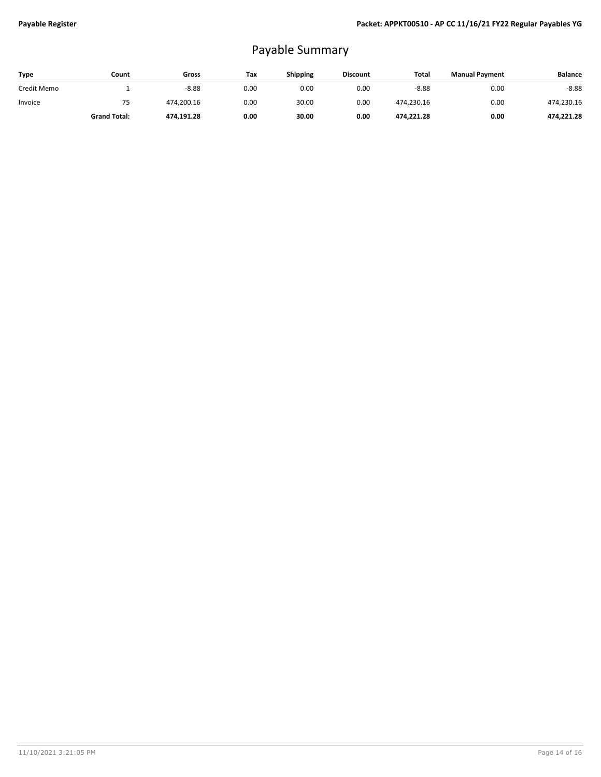# Payable Summary

| Type        | Count               | Gross      | Tax  | <b>Shipping</b> | <b>Discount</b> | Total      | <b>Manual Payment</b> | <b>Balance</b> |
|-------------|---------------------|------------|------|-----------------|-----------------|------------|-----------------------|----------------|
| Credit Memo |                     | $-8.88$    | 0.00 | 0.00            | 0.00            | $-8.88$    | 0.00                  | $-8.88$        |
| Invoice     | 75                  | 474.200.16 | 0.00 | 30.00           | 0.00            | 474,230.16 | 0.00                  | 474,230.16     |
|             | <b>Grand Total:</b> | 474,191.28 | 0.00 | 30.00           | 0.00            | 474,221.28 | 0.00                  | 474,221.28     |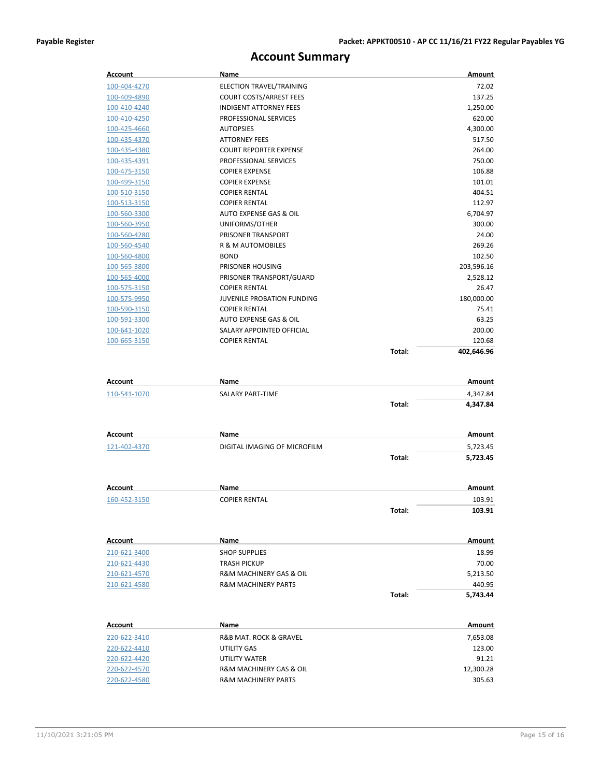## **Account Summary**

| Account        | Name                              |        | Amount        |
|----------------|-----------------------------------|--------|---------------|
| 100-404-4270   | ELECTION TRAVEL/TRAINING          |        | 72.02         |
| 100-409-4890   | <b>COURT COSTS/ARREST FEES</b>    |        | 137.25        |
| 100-410-4240   | <b>INDIGENT ATTORNEY FEES</b>     |        | 1,250.00      |
| 100-410-4250   | PROFESSIONAL SERVICES             |        | 620.00        |
| 100-425-4660   | <b>AUTOPSIES</b>                  |        | 4,300.00      |
| 100-435-4370   | <b>ATTORNEY FEES</b>              |        | 517.50        |
| 100-435-4380   | <b>COURT REPORTER EXPENSE</b>     |        | 264.00        |
| 100-435-4391   | PROFESSIONAL SERVICES             |        | 750.00        |
| 100-475-3150   | <b>COPIER EXPENSE</b>             |        | 106.88        |
| 100-499-3150   | <b>COPIER EXPENSE</b>             |        | 101.01        |
| 100-510-3150   | <b>COPIER RENTAL</b>              |        | 404.51        |
| 100-513-3150   | <b>COPIER RENTAL</b>              |        | 112.97        |
| 100-560-3300   | <b>AUTO EXPENSE GAS &amp; OIL</b> |        | 6,704.97      |
| 100-560-3950   | UNIFORMS/OTHER                    |        | 300.00        |
| 100-560-4280   | PRISONER TRANSPORT                |        | 24.00         |
| 100-560-4540   | R & M AUTOMOBILES                 |        | 269.26        |
| 100-560-4800   | <b>BOND</b>                       |        | 102.50        |
| 100-565-3800   | PRISONER HOUSING                  |        | 203,596.16    |
| 100-565-4000   | PRISONER TRANSPORT/GUARD          |        | 2,528.12      |
| 100-575-3150   | <b>COPIER RENTAL</b>              |        | 26.47         |
| 100-575-9950   | JUVENILE PROBATION FUNDING        |        | 180,000.00    |
| 100-590-3150   | <b>COPIER RENTAL</b>              |        | 75.41         |
| 100-591-3300   | AUTO EXPENSE GAS & OIL            |        | 63.25         |
| 100-641-1020   | SALARY APPOINTED OFFICIAL         |        | 200.00        |
| 100-665-3150   | <b>COPIER RENTAL</b>              |        | 120.68        |
|                |                                   | Total: | 402,646.96    |
| Account        | <b>Name</b>                       |        | Amount        |
| 110-541-1070   | <b>SALARY PART-TIME</b>           |        | 4,347.84      |
|                |                                   | Total: | 4,347.84      |
| <b>Account</b> | Name                              |        | Amount        |
| 121-402-4370   | DIGITAL IMAGING OF MICROFILM      |        | 5,723.45      |
|                |                                   | Total: | 5,723.45      |
| Account        | Name                              |        | <b>Amount</b> |
| 160-452-3150   | <b>COPIER RENTAL</b>              |        | 103.91        |
|                |                                   | Total: | 103.91        |
|                |                                   |        |               |

| Account      | Name                                   |        | Amount   |
|--------------|----------------------------------------|--------|----------|
| 210-621-3400 | <b>SHOP SUPPLIES</b>                   |        | 18.99    |
| 210-621-4430 | <b>TRASH PICKUP</b>                    |        | 70.00    |
| 210-621-4570 | <b>R&amp;M MACHINERY GAS &amp; OIL</b> |        | 5,213.50 |
| 210-621-4580 | <b>R&amp;M MACHINERY PARTS</b>         |        | 440.95   |
|              |                                        | Total: | 5.743.44 |

| Account      | <b>Name</b>                            | Amount    |
|--------------|----------------------------------------|-----------|
| 220-622-3410 | <b>R&amp;B MAT. ROCK &amp; GRAVEL</b>  | 7,653.08  |
| 220-622-4410 | UTILITY GAS                            | 123.00    |
| 220-622-4420 | UTILITY WATER                          | 91.21     |
| 220-622-4570 | <b>R&amp;M MACHINERY GAS &amp; OIL</b> | 12,300.28 |
| 220-622-4580 | <b>R&amp;M MACHINERY PARTS</b>         | 305.63    |